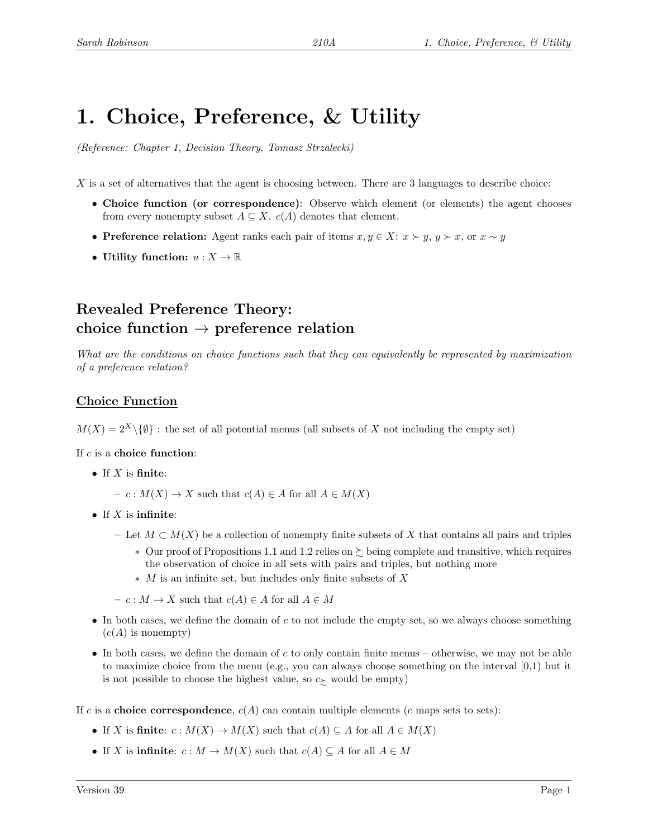# 1. Choice, Preference, & Utility

(Reference: Chapter 1, Decision Theory, Tomasz Strzalecki)

X is a set of alternatives that the agent is choosing between. There are 3 languages to describe choice:

- Choice function (or correspondence): Observe which element (or elements) the agent chooses from every nonempty subset  $A \subseteq X$ .  $c(A)$  denotes that element.
- Preference relation: Agent ranks each pair of items  $x, y \in X: x \succ y$ ,  $y \succ x$ , or  $x \sim y$
- Utility function:  $u: X \to \mathbb{R}$

# Revealed Preference Theory: choice function  $\rightarrow$  preference relation

What are the conditions on choice functions such that they can equivalently be represented by maximization of a preference relation?

## Choice Function

 $M(X) = 2^X \setminus \{\emptyset\}$ : the set of all potential menus (all subsets of X not including the empty set)

If  $c$  is a choice function:

- If  $X$  is finite:
	- $c : M(X) \to X$  such that  $c(A) \in A$  for all  $A \in M(X)$
- If  $X$  is infinite:
	- Let  $M \subset M(X)$  be a collection of nonempty finite subsets of X that contains all pairs and triples
		- ∗ Our proof of Propositions 1.1 and 1.2 relies on % being complete and transitive, which requires the observation of choice in all sets with pairs and triples, but nothing more
		- ∗ M is an infinite set, but includes only finite subsets of X

 $- c : M \to X$  such that  $c(A) \in A$  for all  $A \in M$ 

- In both cases, we define the domain of c to not include the empty set, so we always choose something  $(c(A)$  is nonempty)
- In both cases, we define the domain of c to only contain finite menus otherwise, we may not be able to maximize choice from the menu (e.g., you can always choose something on the interval  $(0,1)$  but it is not possible to choose the highest value, so  $c_{\succ}$  would be empty)

If c is a choice correspondence,  $c(A)$  can contain multiple elements (c maps sets to sets):

- If X is finite:  $c: M(X) \to M(X)$  such that  $c(A) \subseteq A$  for all  $A \in M(X)$
- If X is infinite:  $c : M \to M(X)$  such that  $c(A) \subseteq A$  for all  $A \in M$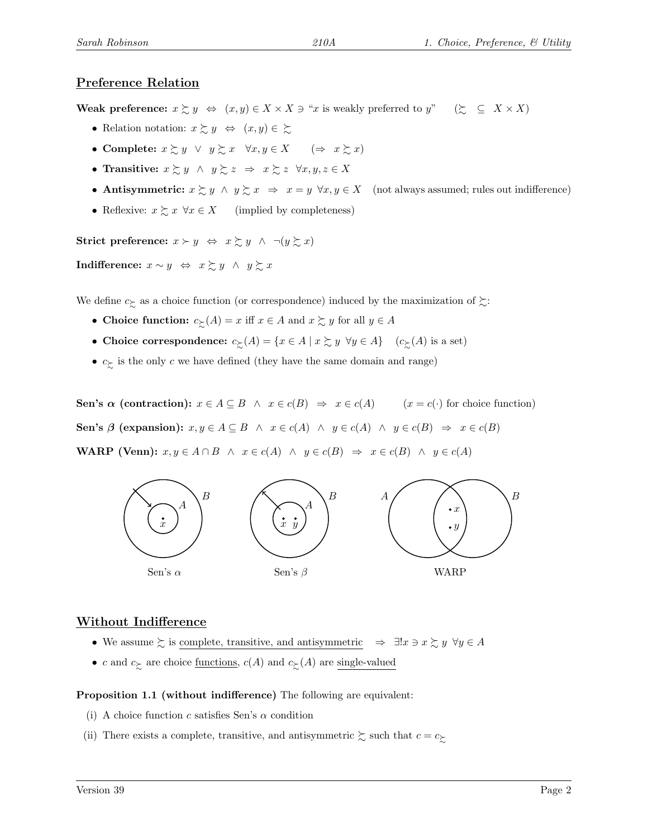### Preference Relation

Weak preference:  $x \succeq y \Leftrightarrow (x, y) \in X \times X \ni "x$  is weakly preferred to  $y" \quad (\succeq \subseteq X \times X)$ 

- Relation notation:  $x \succeq y \Leftrightarrow (x, y) \in \succeq$
- Complete:  $x \succsim y \ \lor \ y \succsim x \ \forall x, y \in X \ \ (\Rightarrow \ x \succsim x)$
- Transitive:  $x \succsim y \land y \succsim z \Rightarrow x \succsim z \forall x, y, z \in X$
- Antisymmetric:  $x \succeq y \wedge y \succeq x \Rightarrow x = y \forall x, y \in X$  (not always assumed; rules out indifference)
- Reflexive:  $x \succsim x \ \forall x \in X$  (implied by completeness)

Strict preference:  $x \succ y \Leftrightarrow x \succsim y \land \neg(y \succsim x)$ 

**Indifference:**  $x \sim y$  ⇔  $x \succsim y$  ∧  $y \succsim x$ 

We define  $c_{\succsim}$  as a choice function (or correspondence) induced by the maximization of  $\succsim$ :

- Choice function:  $c_{\succcurlyeq}(A) = x$  iff  $x \in A$  and  $x \succsim y$  for all  $y \in A$
- Choice correspondence:  $c_{\succ}(A) = \{x \in A \mid x \succsim y \ \forall y \in A\}$   $(c_{\succ}(A)$  is a set)
- $c_{\succeq}$  is the only c we have defined (they have the same domain and range)

Sen's  $\alpha$  (contraction):  $x \in A \subseteq B \land x \in c(B) \Rightarrow x \in c(A)$  ( $x = c(\cdot)$  for choice function) Sen's  $\beta$  (expansion):  $x, y \in A \subseteq B \land x \in c(A) \land y \in c(A) \land y \in c(B) \Rightarrow x \in c(B)$ WARP (Venn):  $x, y \in A \cap B \land x \in c(A) \land y \in c(B) \Rightarrow x \in c(B) \land y \in c(A)$ 



#### Without Indifference

- We assume  $\succsim$  is complete, transitive, and antisymmetric  $\Rightarrow \exists ! x \ni x \succsim y \ \forall y \in A$
- c and  $c_{\succsim}$  are choice <u>functions</u>,  $c(A)$  and  $c_{\succsim}(A)$  are single-valued

#### Proposition 1.1 (without indifference) The following are equivalent:

- (i) A choice function c satisfies Sen's  $\alpha$  condition
- (ii) There exists a complete, transitive, and antisymmetric  $\gtrsim$  such that  $c = c_{\gtrsim}$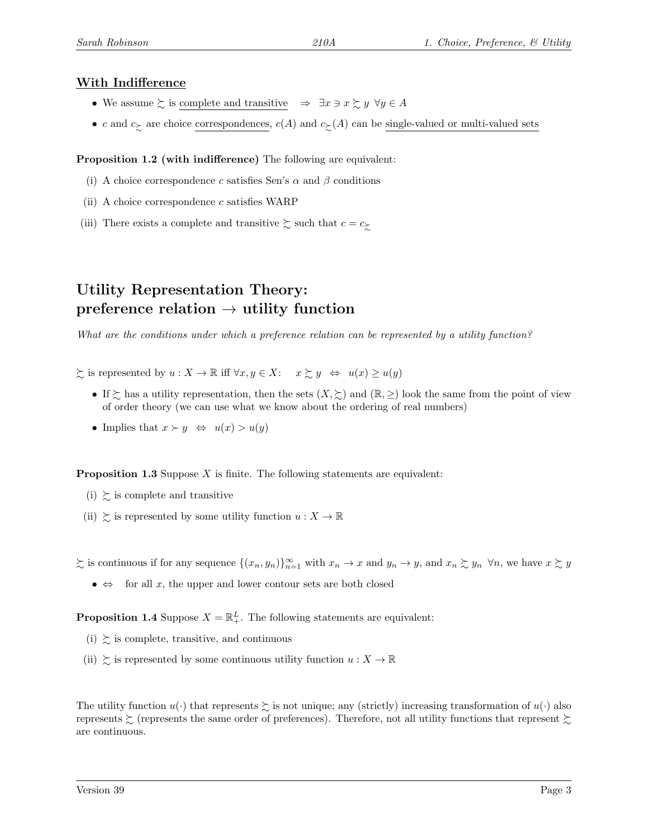### With Indifference

- We assume  $\succsim$  is complete and transitive  $\Rightarrow \exists x \ni x \succsim y \ \forall y \in A$
- c and  $c_{\succeq}$  are choice correspondences,  $c(A)$  and  $c_{\succeq}(A)$  can be single-valued or multi-valued sets

Proposition 1.2 (with indifference) The following are equivalent:

- (i) A choice correspondence c satisfies Sen's  $\alpha$  and  $\beta$  conditions
- (ii) A choice correspondence  $c$  satisfies WARP
- (iii) There exists a complete and transitive  $\gtrsim$  such that  $c = c_{\gtrsim}$

# Utility Representation Theory: preference relation  $\rightarrow$  utility function

What are the conditions under which a preference relation can be represented by a utility function?

 $\sum$  is represented by  $u : X \to \mathbb{R}$  iff  $\forall x, y \in X: x \sum y \Leftrightarrow u(x) \geq u(y)$ 

- If  $\succsim$  has a utility representation, then the sets  $(X, \succsim)$  and  $(\mathbb{R}, \geq)$  look the same from the point of view of order theory (we can use what we know about the ordering of real numbers)
- Implies that  $x \succ y \Leftrightarrow u(x) > u(y)$

**Proposition 1.3** Suppose  $X$  is finite. The following statements are equivalent:

- (i)  $\succsim$  is complete and transitive
- (ii)  $\succsim$  is represented by some utility function  $u : X \to \mathbb{R}$

 $\sum$  is continuous if for any sequence  $\{(x_n, y_n)\}_{n=1}^{\infty}$  with  $x_n \to x$  and  $y_n \to y$ , and  $x_n \sum y_n \forall n$ , we have  $x \sum y$ 

•  $\Leftrightarrow$  for all x, the upper and lower contour sets are both closed

**Proposition 1.4** Suppose  $X = \mathbb{R}^L_+$ . The following statements are equivalent:

- (i)  $\gtrsim$  is complete, transitive, and continuous
- (ii)  $\geq$  is represented by some continuous utility function  $u : X \to \mathbb{R}$

The utility function  $u(\cdot)$  that represents  $\succeq$  is not unique; any (strictly) increasing transformation of  $u(\cdot)$  also represents  $\gtrsim$  (represents the same order of preferences). Therefore, not all utility functions that represent  $\gtrsim$ are continuous.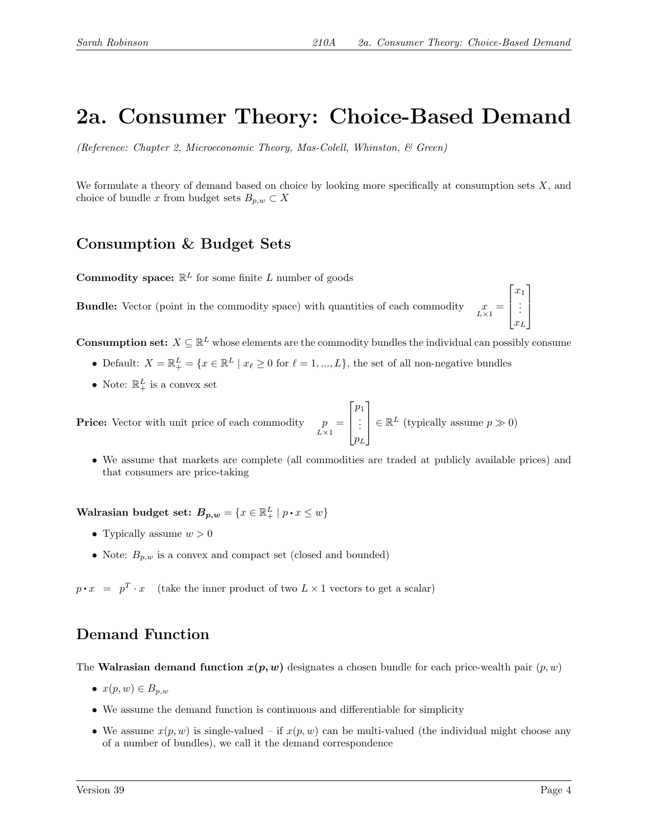# 2a. Consumer Theory: Choice-Based Demand

(Reference: Chapter 2, Microeconomic Theory, Mas-Colell, Whinston, & Green)

We formulate a theory of demand based on choice by looking more specifically at consumption sets  $X$ , and choice of bundle x from budget sets  $B_{p,w} \subset X$ 

# Consumption & Budget Sets

**Commodity space:**  $\mathbb{R}^L$  for some finite L number of goods

 $\boldsymbol{\mathrm{B}}$  Vector (point in the commodity space) with quantities of each commodity  $\lim_{L\times 1} =$  $\lceil$  $\overline{\phantom{a}}$  $\overline{x}_1$ . . .  $x_L$ 

**Consumption set:**  $X \subseteq \mathbb{R}^L$  whose elements are the commodity bundles the individual can possibly consume

- Default:  $X = \mathbb{R}^L_+ = \{x \in \mathbb{R}^L \mid x_\ell \geq 0 \text{ for } \ell = 1, ..., L\}$ , the set of all non-negative bundles
- Note:  $\mathbb{R}^L_+$  is a convex set

**Price:** Vector with unit price of each commodity  $p = L \times 1$  $\lceil$  $\Big\}$  $p_1$ . . .  $p_L$ 1  $\begin{array}{c} \hline \end{array}$  $\in \mathbb{R}^L$  (typically assume  $p \gg 0$ )

• We assume that markets are complete (all commodities are traded at publicly available prices) and that consumers are price-taking

Walrasian budget set:  $B_{p,w} = \{x \in \mathbb{R}^L_+ \mid p \cdot x \leq w\}$ 

- Typically assume  $w > 0$
- Note:  $B_{p,w}$  is a convex and compact set (closed and bounded)

 $p \cdot x = p^T \cdot x$  (take the inner product of two  $L \times 1$  vectors to get a scalar)

## Demand Function

The Walrasian demand function  $x(p, w)$  designates a chosen bundle for each price-wealth pair  $(p, w)$ 

- $x(p, w) \in B_{p,w}$
- We assume the demand function is continuous and differentiable for simplicity
- We assume  $x(p, w)$  is single-valued if  $x(p, w)$  can be multi-valued (the individual might choose any of a number of bundles), we call it the demand correspondence

1

 $\begin{array}{c} \hline \end{array}$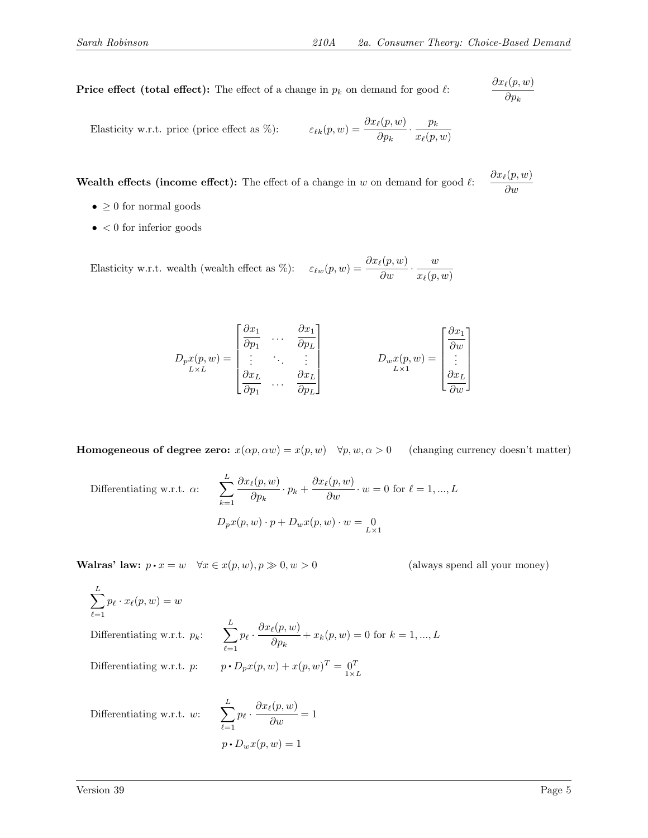$\partial x_\ell(p, w)$  $\partial p_k$ 

∂w

**Price effect (total effect):** The effect of a change in  $p_k$  on demand for good  $\ell$ :

Elasticity w.r.t. price (price effect as %): 
$$
\varepsilon_{\ell k}(p, w) = \frac{\partial x_{\ell}(p, w)}{\partial p_k} \cdot \frac{p_k}{x_{\ell}(p, w)}
$$

Wealth effects (income effect): The effect of a change in  $w$  on demand for good  $\ell$ :  $\partial x_\ell(p, w)$ 

- $\bullet \ \geq 0$  for normal goods
- $\bullet\,<0$  for inferior goods

Elasticity w.r.t. wealth (wealth effect as %):  $\varepsilon_{\ell w}(p, w) = \frac{\partial x_{\ell}(p, w)}{\partial w} \cdot \frac{w}{x_{\ell}(p, w)}$  $x_{\ell}(p, w)$ 

$$
D_{p}x(p,w) = \begin{bmatrix} \frac{\partial x_1}{\partial p_1} & \cdots & \frac{\partial x_1}{\partial p_L} \\ \vdots & \ddots & \vdots \\ \frac{\partial x_L}{\partial p_1} & \cdots & \frac{\partial x_L}{\partial p_L} \end{bmatrix} \qquad D_{w}x(p,w) = \begin{bmatrix} \frac{\partial x_1}{\partial w} \\ \vdots \\ \frac{\partial x_L}{\partial w} \end{bmatrix}
$$

**Homogeneous of degree zero:**  $x(\alpha p, \alpha w) = x(p, w) \quad \forall p, w, \alpha > 0$  (changing currency doesn't matter)

Differentiating w.r.t. 
$$
\alpha
$$
:  
\n
$$
\sum_{k=1}^{L} \frac{\partial x_{\ell}(p, w)}{\partial p_k} \cdot p_k + \frac{\partial x_{\ell}(p, w)}{\partial w} \cdot w = 0 \text{ for } \ell = 1, ..., L
$$
\n
$$
D_p x(p, w) \cdot p + D_w x(p, w) \cdot w = 0
$$

Walras' law:  $p \cdot x = w \quad \forall x \in x(p, w), p \gg 0, w > 0$  (always spend all your money)

$$
\sum_{\ell=1}^{L} p_{\ell} \cdot x_{\ell}(p, w) = w
$$
\nDifferentiating w.r.t.  $p_k$ :  
\n
$$
\sum_{\ell=1}^{L} p_{\ell} \cdot \frac{\partial x_{\ell}(p, w)}{\partial p_k} + x_k(p, w) = 0 \text{ for } k = 1, ..., L
$$
\nDifferentiating w.r.t.  $p$ :  
\n
$$
p \cdot D_p x(p, w) + x(p, w)^T = 0 \quad \text{and} \quad p \cdot D_{p,k}(p, w)
$$
\n
$$
L = 0 \quad \text{and} \quad p \cdot p \cdot x(p, w)
$$

Differentiating w.r.t. w:

$$
\sum_{\ell=1}^{L} p_{\ell} \cdot \frac{\partial x_{\ell}(p, w)}{\partial w} = 1
$$

$$
p \cdot D_{w} x(p, w) = 1
$$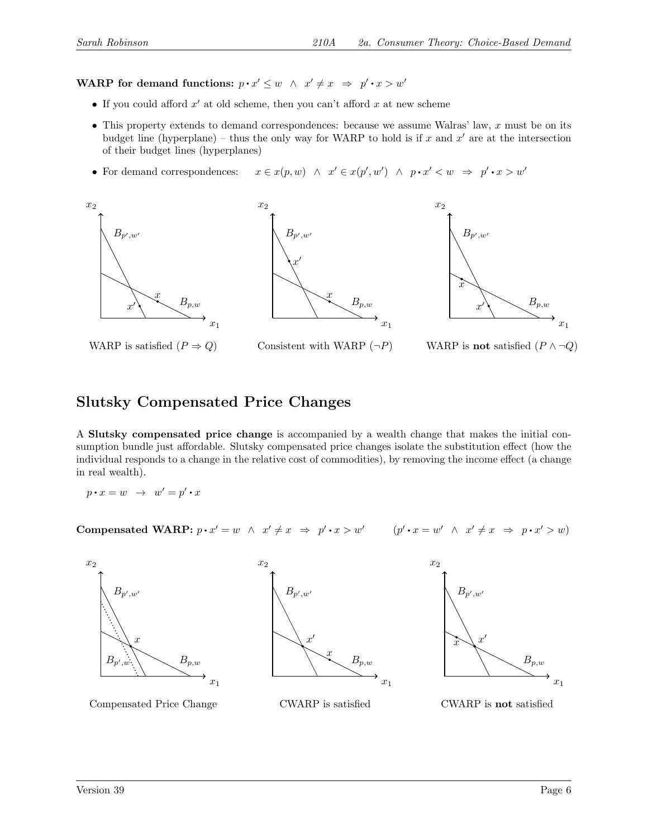WARP for demand functions:  $p \cdot x' \leq w \ \land \ x' \neq x \ \Rightarrow \ p' \cdot x > w'$ 

- If you could afford  $x'$  at old scheme, then you can't afford  $x$  at new scheme
- This property extends to demand correspondences: because we assume Walras' law,  $x$  must be on its budget line (hyperplane) – thus the only way for WARP to hold is if x and  $x'$  are at the intersection of their budget lines (hyperplanes)
- For demand correspondences:  $\bullet$  $y' \in x(p', w') \land p \cdot x' < w \Rightarrow p' \cdot x > w'$







## Slutsky Compensated Price Changes

A Slutsky compensated price change is accompanied by a wealth change that makes the initial consumption bundle just affordable. Slutsky compensated price changes isolate the substitution effect (how the individual responds to a change in the relative cost of commodities), by removing the income effect (a change in real wealth).

$$
p\mathbin{{\raisebox{1.5pt}{\textbf{-}}}} x = w \ \to \ w' = p'\mathbin{{\raisebox{1.5pt}{\textbf{-}}}} x
$$

Compensated WARP:  $p \cdot x' = w \land x' \neq x \Rightarrow p' \cdot x > w'$   $(p' \cdot x = w' \land x' \neq x \Rightarrow p \cdot x' > w)$ 

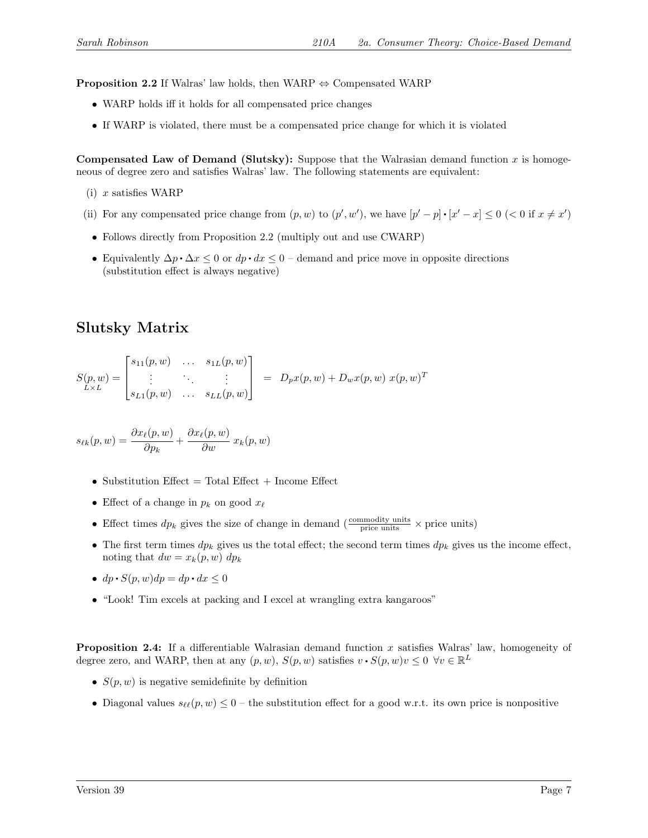**Proposition 2.2** If Walras' law holds, then WARP  $\Leftrightarrow$  Compensated WARP

- WARP holds iff it holds for all compensated price changes
- If WARP is violated, there must be a compensated price change for which it is violated

Compensated Law of Demand (Slutsky): Suppose that the Walrasian demand function x is homogeneous of degree zero and satisfies Walras' law. The following statements are equivalent:

- $(i)$  x satisfies WARP
- (ii) For any compensated price change from  $(p, w)$  to  $(p', w')$ , we have  $[p' p] \cdot [x' x] \leq 0$  (< 0 if  $x \neq x'$ )
- Follows directly from Proposition 2.2 (multiply out and use CWARP)
- Equivalently  $\Delta p \cdot \Delta x \leq 0$  or  $dp \cdot dx \leq 0$  demand and price move in opposite directions (substitution effect is always negative)

# Slutsky Matrix

$$
S(p, w) = \begin{bmatrix} s_{11}(p, w) & \dots & s_{1L}(p, w) \\ \vdots & \ddots & \vdots \\ s_{L1}(p, w) & \dots & s_{LL}(p, w) \end{bmatrix} = D_p x(p, w) + D_w x(p, w) x(p, w)^T
$$

$$
s_{\ell k}(p, w) = \frac{\partial x_{\ell}(p, w)}{\partial p_k} + \frac{\partial x_{\ell}(p, w)}{\partial w} x_k(p, w)
$$

- Substitution Effect  $=$  Total Effect  $+$  Income Effect
- Effect of a change in  $p_k$  on good  $x_\ell$
- Effect times  $dp_k$  gives the size of change in demand ( $\frac{\text{commodity units}}{\text{price units}} \times \text{price units}$ )
- The first term times  $dp_k$  gives us the total effect; the second term times  $dp_k$  gives us the income effect, noting that  $dw = x_k(p, w) dp_k$
- $dp \cdot S(p, w) dp = dp \cdot dx \leq 0$
- "Look! Tim excels at packing and I excel at wrangling extra kangaroos"

Proposition 2.4: If a differentiable Walrasian demand function x satisfies Walras' law, homogeneity of degree zero, and WARP, then at any  $(p, w)$ ,  $S(p, w)$  satisfies  $v \cdot S(p, w)v \leq 0 \ \forall v \in \mathbb{R}^L$ 

- $S(p, w)$  is negative semidefinite by definition
- Diagonal values  $s_{\ell\ell}(p, w) \leq 0$  the substitution effect for a good w.r.t. its own price is nonpositive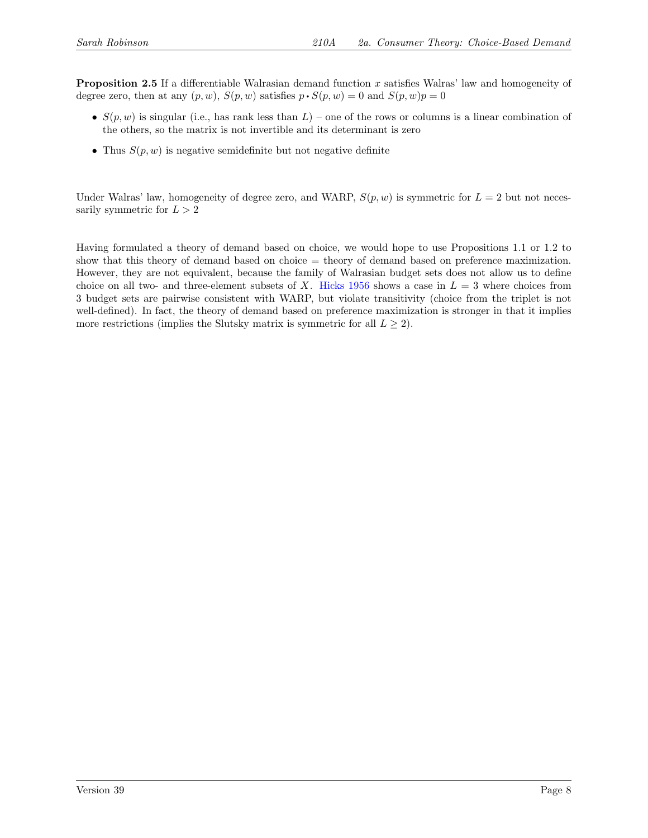Proposition 2.5 If a differentiable Walrasian demand function x satisfies Walras' law and homogeneity of degree zero, then at any  $(p, w)$ ,  $S(p, w)$  satisfies  $p \cdot S(p, w) = 0$  and  $S(p, w)p = 0$ 

- $S(p, w)$  is singular (i.e., has rank less than  $L$ ) one of the rows or columns is a linear combination of the others, so the matrix is not invertible and its determinant is zero
- Thus  $S(p, w)$  is negative semidefinite but not negative definite

Under Walras' law, homogeneity of degree zero, and WARP,  $S(p, w)$  is symmetric for  $L = 2$  but not necessarily symmetric for  $L > 2$ 

Having formulated a theory of demand based on choice, we would hope to use Propositions 1.1 or 1.2 to show that this theory of demand based on choice = theory of demand based on preference maximization. However, they are not equivalent, because the family of Walrasian budget sets does not allow us to define choice on all two- and three-element subsets of X. [Hicks 1956](https://www.geogebra.org/m/PFHFgs53) shows a case in  $L = 3$  where choices from 3 budget sets are pairwise consistent with WARP, but violate transitivity (choice from the triplet is not well-defined). In fact, the theory of demand based on preference maximization is stronger in that it implies more restrictions (implies the Slutsky matrix is symmetric for all  $L \geq 2$ ).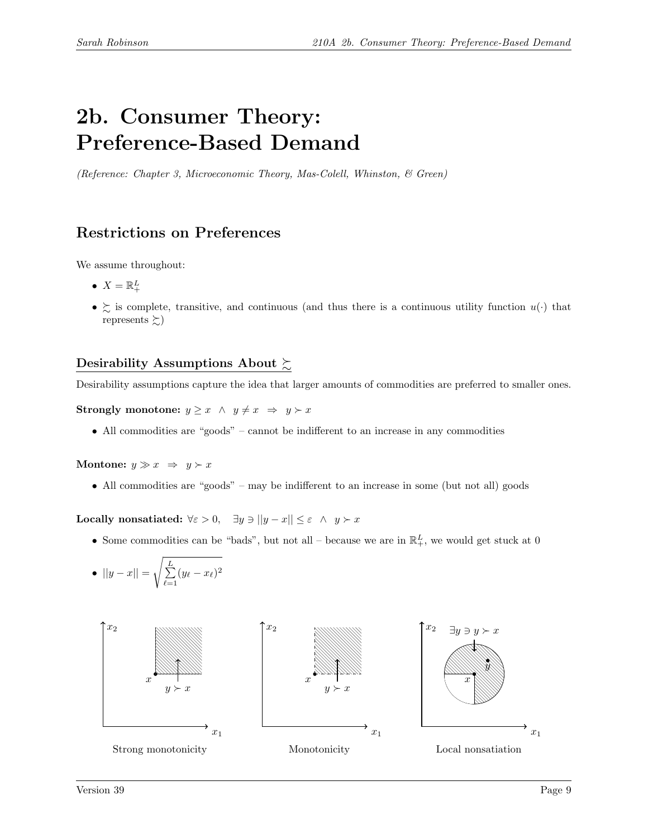# 2b. Consumer Theory: Preference-Based Demand

(Reference: Chapter 3, Microeconomic Theory, Mas-Colell, Whinston, & Green)

# Restrictions on Preferences

We assume throughout:

- $X = \mathbb{R}^L_+$
- $\geq$  is complete, transitive, and continuous (and thus there is a continuous utility function  $u(\cdot)$  that represents  $\succsim$ )

## Desirability Assumptions About  $\succsim$

Desirability assumptions capture the idea that larger amounts of commodities are preferred to smaller ones.

Strongly monotone:  $y \geq x \land y \neq x \Rightarrow y \succ x$ 

• All commodities are "goods" – cannot be indifferent to an increase in any commodities

Montone:  $y \gg x \Rightarrow y \succ x$ 

• All commodities are "goods" – may be indifferent to an increase in some (but not all) goods

Locally nonsatiated:  $\forall \varepsilon > 0$ ,  $\exists y \ni ||y - x|| \le \varepsilon \land y \succ x$ 

• Some commodities can be "bads", but not all – because we are in  $\mathbb{R}^L_+$ , we would get stuck at 0

• 
$$
||y - x|| = \sqrt{\sum_{\ell=1}^{L} (y_{\ell} - x_{\ell})^2}
$$

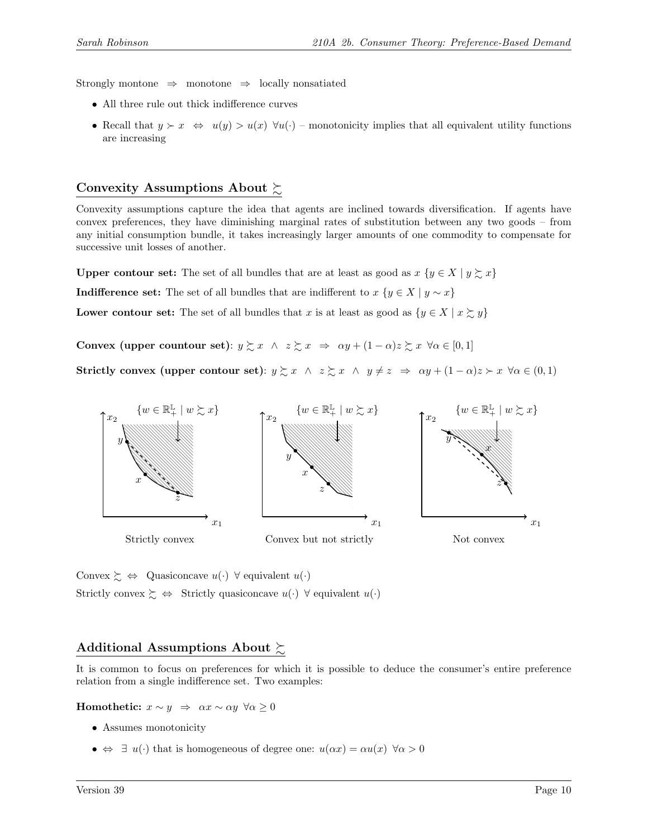Strongly montone  $\Rightarrow$  monotone  $\Rightarrow$  locally nonsatiated

- All three rule out thick indifference curves
- Recall that  $y \succ x \Leftrightarrow u(y) > u(x) \forall u(\cdot)$  monotonicity implies that all equivalent utility functions are increasing

## Convexity Assumptions About  $\succsim$

Convexity assumptions capture the idea that agents are inclined towards diversification. If agents have convex preferences, they have diminishing marginal rates of substitution between any two goods – from any initial consumption bundle, it takes increasingly larger amounts of one commodity to compensate for successive unit losses of another.

**Upper contour set:** The set of all bundles that are at least as good as  $x \{y \in X \mid y \succsim x\}$ 

**Indifference set:** The set of all bundles that are indifferent to  $x \{y \in X \mid y \sim x\}$ 

Lower contour set: The set of all bundles that x is at least as good as  $\{y \in X \mid x \succsim y\}$ 

Convex (upper countour set):  $y \succeq x \land z \succeq x \Rightarrow \alpha y + (1 - \alpha)z \succeq x \forall \alpha \in [0,1]$ 

Strictly convex (upper contour set):  $y \succsim x \land z \succsim x \land y \neq z \Rightarrow \alpha y + (1 - \alpha)z \succ x \forall \alpha \in (0, 1)$ 



Convex  $\succsim \Leftrightarrow$  Quasiconcave  $u(\cdot)$   $\forall$  equivalent  $u(\cdot)$ Strictly convex  $\succsim \Leftrightarrow$  Strictly quasiconcave  $u(\cdot)$   $\forall$  equivalent  $u(\cdot)$ 

## Additional Assumptions About  $\succsim$

It is common to focus on preferences for which it is possible to deduce the consumer's entire preference relation from a single indifference set. Two examples:

Homothetic:  $x \sim y \Rightarrow \alpha x \sim \alpha y \ \forall \alpha \geq 0$ 

- Assumes monotonicity
- $\bullet \Leftrightarrow \exists u(\cdot)$  that is homogeneous of degree one:  $u(\alpha x) = \alpha u(x) \ \forall \alpha > 0$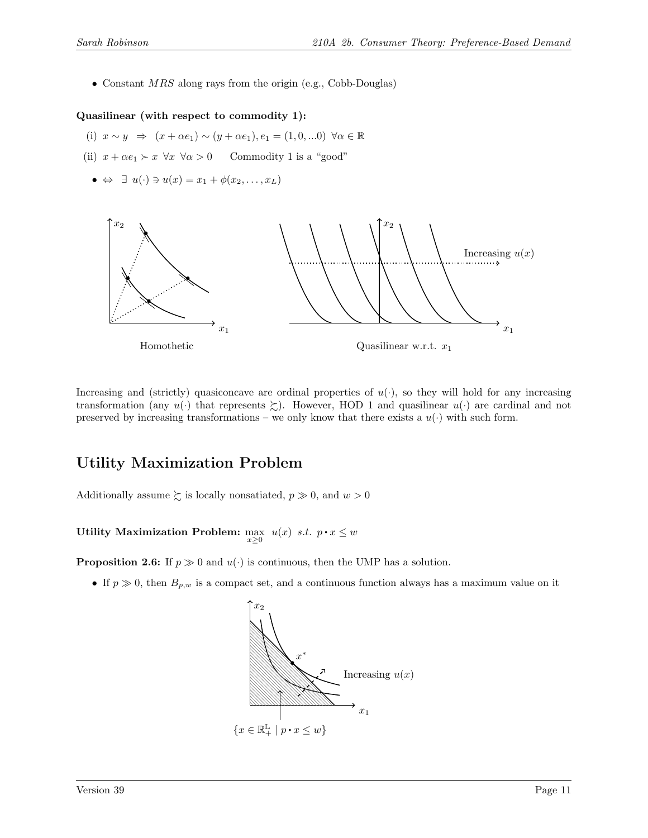• Constant  $MRS$  along rays from the origin (e.g., Cobb-Douglas)

#### Quasilinear (with respect to commodity 1):

- (i)  $x \sim y \Rightarrow (x + \alpha e_1) \sim (y + \alpha e_1), e_1 = (1, 0, \ldots 0) \; \forall \alpha \in \mathbb{R}$
- (ii)  $x + \alpha e_1 \succ x \ \forall x \ \forall \alpha > 0$  Commodity 1 is a "good"
	- $\bullet \Leftrightarrow \exists u(\cdot) \ni u(x) = x_1 + \phi(x_2, \ldots, x_L)$



Increasing and (strictly) quasiconcave are ordinal properties of  $u(\cdot)$ , so they will hold for any increasing transformation (any  $u(\cdot)$  that represents  $\succeq$ ). However, HOD 1 and quasilinear  $u(\cdot)$  are cardinal and not preserved by increasing transformations – we only know that there exists a  $u(\cdot)$  with such form.

## Utility Maximization Problem

Additionally assume  $\succsim$  is locally nonsatiated,  $p \gg 0$ , and  $w > 0$ 

Utility Maximization Problem:  $\max_{x\geq 0} u(x)$  s.t.  $p \cdot x \leq w$ 

**Proposition 2.6:** If  $p \gg 0$  and  $u(\cdot)$  is continuous, then the UMP has a solution.

• If  $p \gg 0$ , then  $B_{p,w}$  is a compact set, and a continuous function always has a maximum value on it

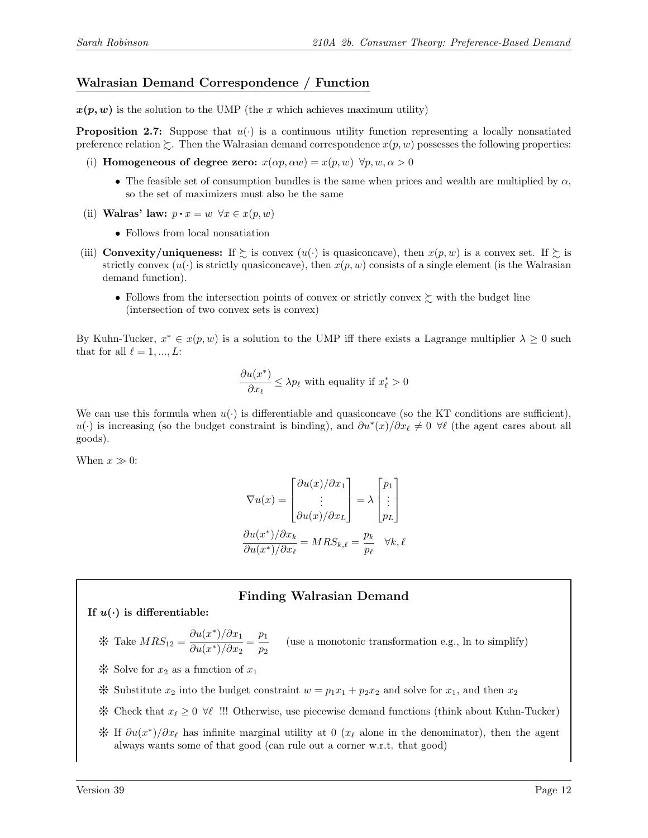#### Walrasian Demand Correspondence / Function

 $x(p, w)$  is the solution to the UMP (the x which achieves maximum utility)

**Proposition 2.7:** Suppose that  $u(\cdot)$  is a continuous utility function representing a locally nonsatiated preference relation  $\gtrsim$ . Then the Walrasian demand correspondence  $x(p, w)$  possesses the following properties:

- (i) Homogeneous of degree zero:  $x(\alpha p, \alpha w) = x(p, w) \ \forall p, w, \alpha > 0$ 
	- The feasible set of consumption bundles is the same when prices and wealth are multiplied by  $\alpha$ , so the set of maximizers must also be the same
- (ii) Walras' law:  $p \cdot x = w \ \forall x \in x(p, w)$ 
	- Follows from local nonsatiation
- (iii) **Convexity/uniqueness:** If  $\geq$  is convex  $(u(\cdot))$  is quasiconcave), then  $x(p, w)$  is a convex set. If  $\geq$  is strictly convex  $(u(\cdot))$  is strictly quasiconcave), then  $x(p, w)$  consists of a single element (is the Walrasian demand function).
	- Follows from the intersection points of convex or strictly convex  $\succeq$  with the budget line (intersection of two convex sets is convex)

By Kuhn-Tucker,  $x^* \in x(p, w)$  is a solution to the UMP iff there exists a Lagrange multiplier  $\lambda \geq 0$  such that for all  $\ell = 1, ..., L$ :

$$
\frac{\partial u(x^*)}{\partial x_\ell} \le \lambda p_\ell \text{ with equality if } x^*_\ell > 0
$$

We can use this formula when  $u(\cdot)$  is differentiable and quasiconcave (so the KT conditions are sufficient), u(.) is increasing (so the budget constraint is binding), and  $\partial u^*(x)/\partial x_\ell \neq 0$   $\forall \ell$  (the agent cares about all goods).

When  $x \gg 0$ :

$$
\nabla u(x) = \begin{bmatrix} \partial u(x)/\partial x_1 \\ \vdots \\ \partial u(x)/\partial x_L \end{bmatrix} = \lambda \begin{bmatrix} p_1 \\ \vdots \\ p_L \end{bmatrix}
$$

$$
\frac{\partial u(x^*)}{\partial x_k} = MRS_{k,\ell} = \frac{p_k}{p_\ell} \quad \forall k, \ell
$$

#### Finding Walrasian Demand

If  $u(\cdot)$  is differentiable:

$$
\text{# Take } MRS_{12} = \frac{\partial u(x^*)}{\partial u(x^*)/\partial x_1} = \frac{p_1}{p_2} \qquad \text{(use a monotonic transformation e.g., ln to simplify)}
$$

 $\mathcal K$  Solve for  $x_2$  as a function of  $x_1$ 

- \* Substitute  $x_2$  into the budget constraint  $w = p_1x_1 + p_2x_2$  and solve for  $x_1$ , and then  $x_2$
- $\mathcal$  ∀ Check that  $x_\ell \geq 0 \ \forall \ell$  !!! Otherwise, use piecewise demand functions (think about Kuhn-Tucker)
- $\hat{X}$  If  $\partial u(x^*)/\partial x_\ell$  has infinite marginal utility at 0 (x<sub>ℓ</sub> alone in the denominator), then the agent always wants some of that good (can rule out a corner w.r.t. that good)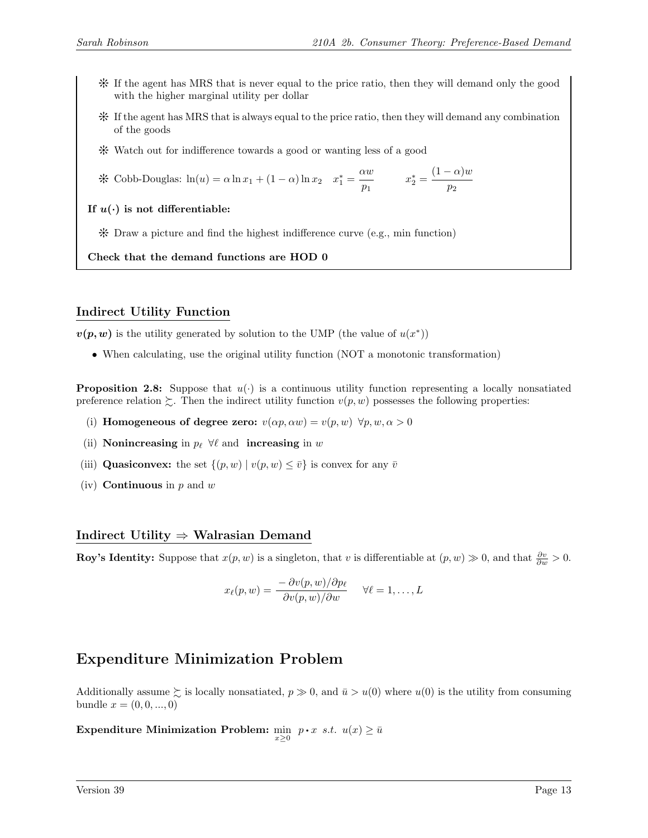- Y If the agent has MRS that is never equal to the price ratio, then they will demand only the good with the higher marginal utility per dollar
- Y If the agent has MRS that is always equal to the price ratio, then they will demand any combination of the goods
- Y Watch out for indifference towards a good or wanting less of a good

$$
\text{4.} \text{Cobb-Douglas: } \ln(u) = \alpha \ln x_1 + (1 - \alpha) \ln x_2 \quad x_1^* = \frac{\alpha w}{p_1} \qquad x_2^* = \frac{(1 - \alpha)w}{p_2}
$$

If  $u(\cdot)$  is not differentiable:

 $*$  Draw a picture and find the highest indifference curve (e.g., min function)

Check that the demand functions are HOD 0

### Indirect Utility Function

 $v(p, w)$  is the utility generated by solution to the UMP (the value of  $u(x^*)$ )

• When calculating, use the original utility function (NOT a monotonic transformation)

**Proposition 2.8:** Suppose that  $u(\cdot)$  is a continuous utility function representing a locally nonsatiated preference relation  $\zeta$ . Then the indirect utility function  $v(p, w)$  possesses the following properties:

- (i) Homogeneous of degree zero:  $v(\alpha p, \alpha w) = v(p, w) \ \forall p, w, \alpha > 0$
- (ii) Nonincreasing in  $p_\ell \ \forall \ell$  and increasing in w
- (iii) **Quasiconvex:** the set  $\{(p, w) | v(p, w) \leq \overline{v}\}\)$  is convex for any  $\overline{v}$
- (iv) **Continuous** in  $p$  and  $w$

#### Indirect Utility ⇒ Walrasian Demand

**Roy's Identity:** Suppose that  $x(p, w)$  is a singleton, that v is differentiable at  $(p, w) \gg 0$ , and that  $\frac{\partial v}{\partial w} > 0$ .

$$
x_{\ell}(p, w) = \frac{-\partial v(p, w)/\partial p_{\ell}}{\partial v(p, w)/\partial w} \quad \forall \ell = 1, \dots, L
$$

# Expenditure Minimization Problem

Additionally assume  $\geq$  is locally nonsatiated,  $p \gg 0$ , and  $\bar{u} > u(0)$  where  $u(0)$  is the utility from consuming bundle  $x = (0, 0, ..., 0)$ 

Expenditure Minimization Problem:  $\min_{x\geq 0}$   $p \cdot x$  s.t.  $u(x) \geq \bar{u}$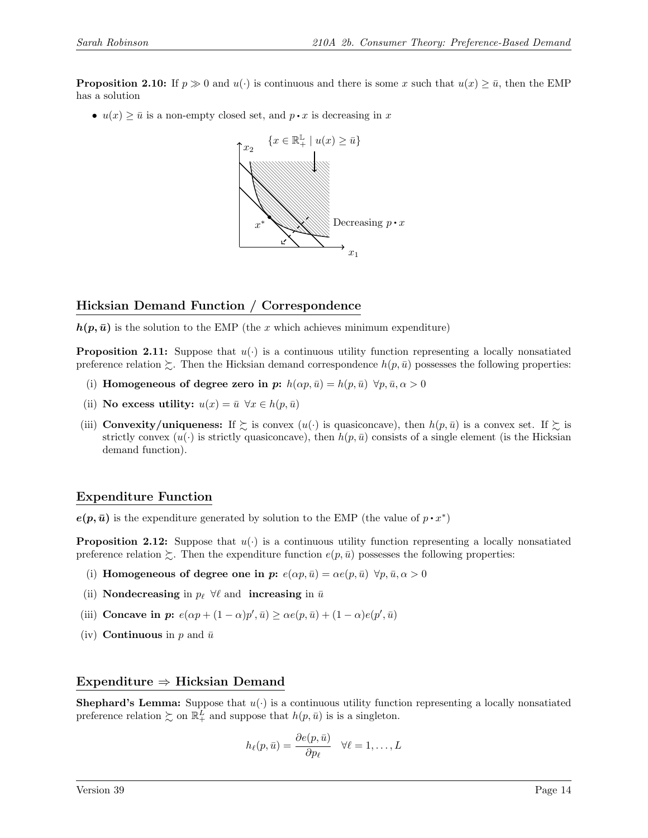**Proposition 2.10:** If  $p \gg 0$  and  $u(\cdot)$  is continuous and there is some x such that  $u(x) \geq \bar{u}$ , then the EMP has a solution

•  $u(x) \geq \bar{u}$  is a non-empty closed set, and  $p \cdot x$  is decreasing in x



### Hicksian Demand Function / Correspondence

 $h(p,\bar{u})$  is the solution to the EMP (the x which achieves minimum expenditure)

**Proposition 2.11:** Suppose that  $u(\cdot)$  is a continuous utility function representing a locally nonsatiated preference relation  $\gtrsim$ . Then the Hicksian demand correspondence  $h(p, \bar{u})$  possesses the following properties:

- (i) Homogeneous of degree zero in p:  $h(\alpha p, \bar{u}) = h(p, \bar{u}) \,\forall p, \bar{u}, \alpha > 0$
- (ii) No excess utility:  $u(x) = \bar{u} \ \forall x \in h(p, \bar{u})$
- (iii) **Convexity/uniqueness:** If  $\succeq$  is convex  $(u(\cdot))$  is quasiconcave), then  $h(p, \bar{u})$  is a convex set. If  $\succeq$  is strictly convex  $(u(\cdot))$  is strictly quasiconcave), then  $h(p, \bar{u})$  consists of a single element (is the Hicksian demand function).

#### Expenditure Function

 $e(p, \bar{u})$  is the expenditure generated by solution to the EMP (the value of  $p \cdot x^*$ )

**Proposition 2.12:** Suppose that  $u(\cdot)$  is a continuous utility function representing a locally nonsatiated preference relation  $\gtrsim$ . Then the expenditure function  $e(p, \bar{u})$  possesses the following properties:

- (i) Homogeneous of degree one in p:  $e(\alpha p, \bar{u}) = \alpha e(p, \bar{u}) \,\forall p, \bar{u}, \alpha > 0$
- (ii) Nondecreasing in  $p_\ell \ \forall \ell$  and increasing in  $\bar{u}$
- (iii) Concave in p:  $e(\alpha p + (1 \alpha)p', \bar{u}) \geq \alpha e(p, \bar{u}) + (1 \alpha)e(p', \bar{u})$
- (iv) **Continuous** in p and  $\bar{u}$

#### Expenditure ⇒ Hicksian Demand

**Shephard's Lemma:** Suppose that  $u(\cdot)$  is a continuous utility function representing a locally nonsatiated preference relation  $\succsim$  on  $\mathbb{R}^L_+$  and suppose that  $h(p, \bar{u})$  is is a singleton.

$$
h_{\ell}(p,\bar{u}) = \frac{\partial e(p,\bar{u})}{\partial p_{\ell}} \quad \forall \ell = 1,\ldots,L
$$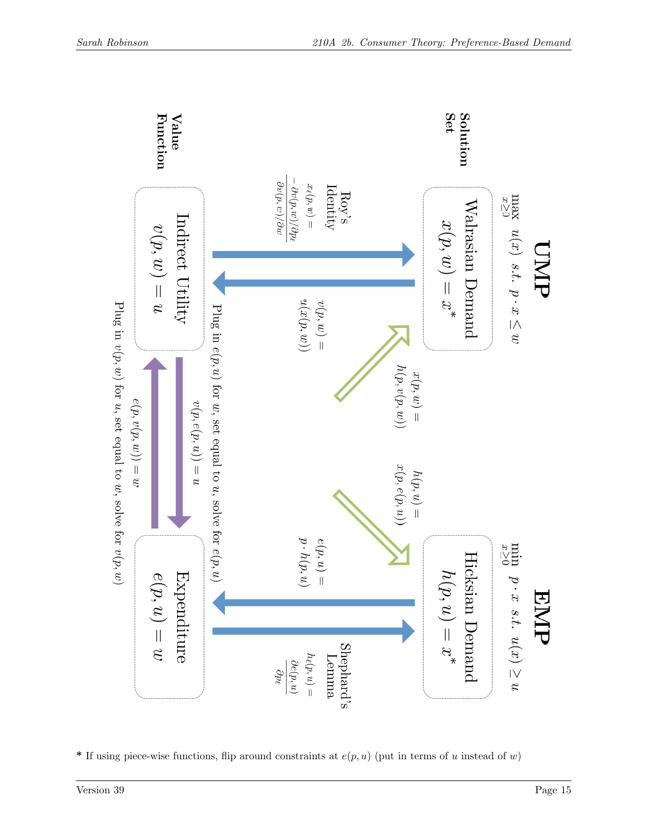

\* If using piece-wise functions, flip around constraints at  $e(p, u)$  (put in terms of u instead of w)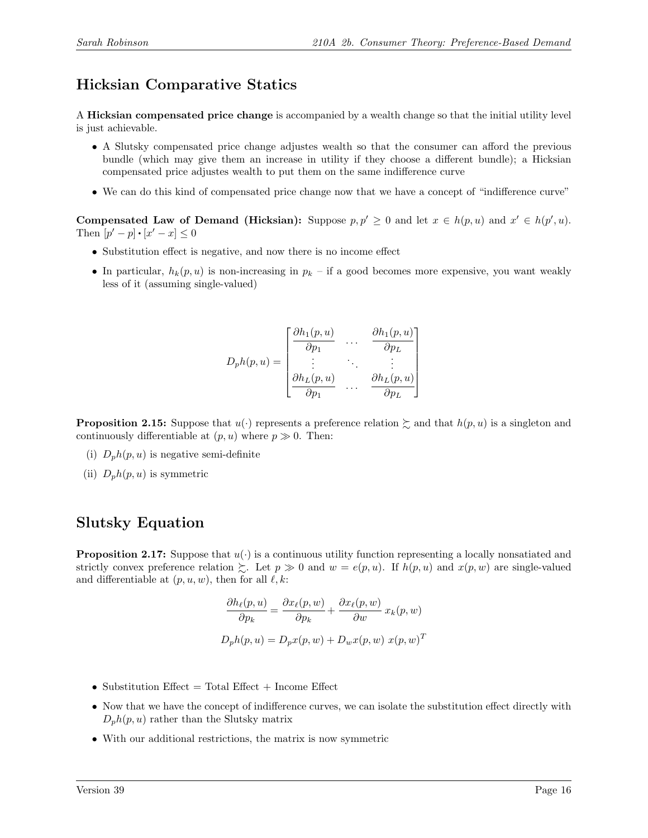# Hicksian Comparative Statics

A Hicksian compensated price change is accompanied by a wealth change so that the initial utility level is just achievable.

- A Slutsky compensated price change adjustes wealth so that the consumer can afford the previous bundle (which may give them an increase in utility if they choose a different bundle); a Hicksian compensated price adjustes wealth to put them on the same indifference curve
- We can do this kind of compensated price change now that we have a concept of "indifference curve"

Compensated Law of Demand (Hicksian): Suppose  $p, p' \geq 0$  and let  $x \in h(p, u)$  and  $x' \in h(p', u)$ . Then  $[p'-p] \cdot [x'-x] \leq 0$ 

- Substitution effect is negative, and now there is no income effect
- In particular,  $h_k(p, u)$  is non-increasing in  $p_k$  if a good becomes more expensive, you want weakly less of it (assuming single-valued)

$$
D_{p}h(p,u) = \begin{bmatrix} \frac{\partial h_{1}(p,u)}{\partial p_{1}} & \cdots & \frac{\partial h_{1}(p,u)}{\partial p_{L}} \\ \vdots & \ddots & \vdots \\ \frac{\partial h_{L}(p,u)}{\partial p_{1}} & \cdots & \frac{\partial h_{L}(p,u)}{\partial p_{L}} \end{bmatrix}
$$

**Proposition 2.15:** Suppose that  $u(\cdot)$  represents a preference relation  $\geq$  and that  $h(p, u)$  is a singleton and continuously differentiable at  $(p, u)$  where  $p \gg 0$ . Then:

- (i)  $D_p h(p, u)$  is negative semi-definite
- (ii)  $D_p h(p, u)$  is symmetric

## Slutsky Equation

**Proposition 2.17:** Suppose that  $u(\cdot)$  is a continuous utility function representing a locally nonsatiated and strictly convex preference relation  $\sum$ . Let  $p \gg 0$  and  $w = e(p, u)$ . If  $h(p, u)$  and  $x(p, w)$  are single-valued and differentiable at  $(p, u, w)$ , then for all  $\ell, k$ :

$$
\frac{\partial h_{\ell}(p, u)}{\partial p_k} = \frac{\partial x_{\ell}(p, w)}{\partial p_k} + \frac{\partial x_{\ell}(p, w)}{\partial w} x_k(p, w)
$$

$$
D_p h(p, u) = D_p x(p, w) + D_w x(p, w) x(p, w)^T
$$

- Substitution Effect  $=$  Total Effect  $+$  Income Effect
- Now that we have the concept of indifference curves, we can isolate the substitution effect directly with  $D_p h(p, u)$  rather than the Slutsky matrix
- With our additional restrictions, the matrix is now symmetric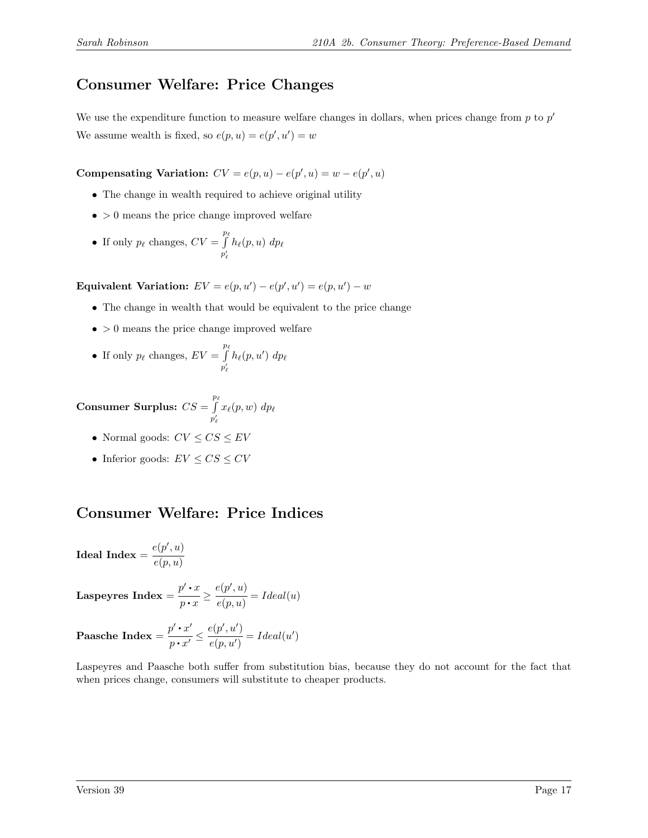# Consumer Welfare: Price Changes

We use the expenditure function to measure welfare changes in dollars, when prices change from  $p$  to  $p'$ We assume wealth is fixed, so  $e(p, u) = e(p', u') = w$ 

Compensating Variation:  $CV = e(p, u) - e(p', u) = w - e(p', u)$ 

- The change in wealth required to achieve original utility
- $\bullet$  > 0 means the price change improved welfare
- If only  $p_\ell$  changes,  $CV = \int^{p_\ell}$  $p'_\ell$  $h_{\ell}(p, u) dp_{\ell}$

Equivalent Variation:  $EV = e(p, u') - e(p', u') = e(p, u') - w$ 

- The change in wealth that would be equivalent to the price change
- $\bullet$  > 0 means the price change improved welfare

• If only 
$$
p_{\ell}
$$
 changes,  $EV = \int_{p'_{\ell}}^{p_{\ell}} h_{\ell}(p, u') dp_{\ell}$ 

Consumer Surplus:  $CS = \int^{p_{\ell}}$  $\int\limits_{p'_\ell} x_\ell(p,w) \; dp_\ell$  $\ell$ 

- Normal goods:  $CV \leq CS \leq EV$
- Inferior goods:  $EV \leq CS \leq CV$

# Consumer Welfare: Price Indices

Ideal Index =  $\frac{e(p',u)}{u(p')}$  $e(p, u)$ 

**Laspeyres Index** = 
$$
\frac{p' \cdot x}{p \cdot x} \ge \frac{e(p', u)}{e(p, u)} = Ideal(u)
$$

Paasche Index =  $\frac{p' \cdot x'}{p}$  $\frac{p' \cdot x'}{p \cdot x'} \leq \frac{e(p', u')}{e(p, u')}$  $\frac{\partial P}{\partial e(p, u')} = Ideal(u')$ 

Laspeyres and Paasche both suffer from substitution bias, because they do not account for the fact that when prices change, consumers will substitute to cheaper products.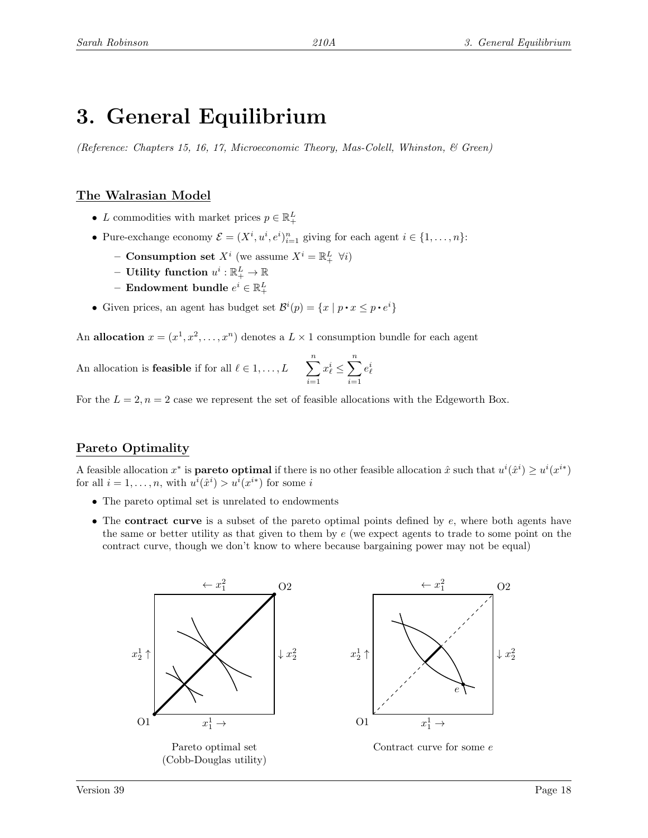# 3. General Equilibrium

(Reference: Chapters 15, 16, 17, Microeconomic Theory, Mas-Colell, Whinston, & Green)

## The Walrasian Model

- L commodities with market prices  $p \in \mathbb{R}^L_+$
- Pure-exchange economy  $\mathcal{E} = (X^i, u^i, e^i)_{i=1}^n$  giving for each agent  $i \in \{1, ..., n\}$ :
	- Consumption set  $X^i$  (we assume  $X^i = \mathbb{R}^L_+$   $\forall i$ )
	- $-$  Utility function  $u^i: \mathbb{R}^L_+ \rightarrow \mathbb{R}$
	- $-$  Endowment bundle  $e^i \in \mathbb{R}^L_+$
- Given prices, an agent has budget set  $\mathcal{B}^i(p) = \{x \mid p \cdot x \leq p \cdot e^i\}$

An allocation  $x = (x^1, x^2, \dots, x^n)$  denotes a  $L \times 1$  consumption bundle for each agent

An allocation is **feasible** if for all 
$$
\ell \in 1, ..., L
$$
 
$$
\sum_{i=1}^{n} x_{\ell}^{i} \leq \sum_{i=1}^{n} e_{\ell}^{i}
$$

For the  $L = 2$ ,  $n = 2$  case we represent the set of feasible allocations with the Edgeworth Box.

## Pareto Optimality

A feasible allocation  $x^*$  is **pareto optimal** if there is no other feasible allocation  $\hat{x}$  such that  $u^i(\hat{x}^i) \geq u^i(x^{i*})$ for all  $i = 1, ..., n$ , with  $u^{i}(\hat{x}^{i}) > u^{i}(x^{i})$  for some i

- The pareto optimal set is unrelated to endowments
- The contract curve is a subset of the pareto optimal points defined by e, where both agents have the same or better utility as that given to them by  $e$  (we expect agents to trade to some point on the contract curve, though we don't know to where because bargaining power may not be equal)

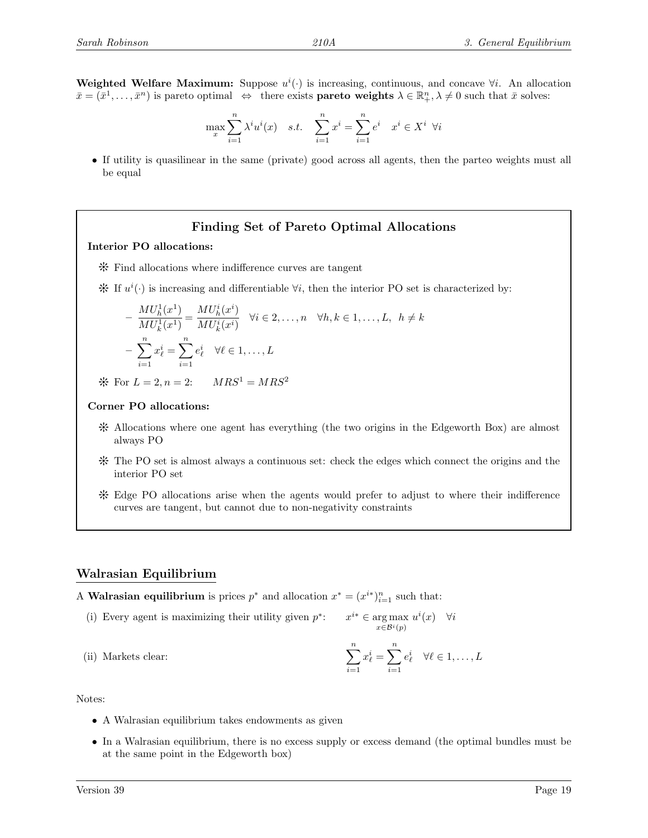Weighted Welfare Maximum: Suppose  $u^{i}(\cdot)$  is increasing, continuous, and concave  $\forall i$ . An allocation  $\bar{x} = (\bar{x}^1, \ldots, \bar{x}^n)$  is pareto optimal  $\Leftrightarrow$  there exists **pareto weights**  $\lambda \in \mathbb{R}^n_+$ ,  $\lambda \neq 0$  such that  $\bar{x}$  solves:

$$
\max_x \sum_{i=1}^n \lambda^i u^i(x) \quad s.t. \quad \sum_{i=1}^n x^i = \sum_{i=1}^n e^i \quad x^i \in X^i \ \forall i
$$

• If utility is quasilinear in the same (private) good across all agents, then the parteo weights must all be equal

#### Finding Set of Pareto Optimal Allocations

#### Interior PO allocations:

- Y Find allocations where indifference curves are tangent
- $\mathcal{H}$  If  $u^{i}(\cdot)$  is increasing and differentiable  $\forall i$ , then the interior PO set is characterized by:

$$
-\frac{MU_h^1(x^1)}{MU_k^1(x^1)} = \frac{MU_h^i(x^i)}{MU_k^i(x^i)} \quad \forall i \in 2, \dots, n \quad \forall h, k \in 1, \dots, L, \quad h \neq k
$$

$$
-\sum_{i=1}^n x_\ell^i = \sum_{i=1}^n e_\ell^i \quad \forall \ell \in 1, \dots, L
$$

\* For  $L = 2, n = 2$ :  $MRS^1 = MRS^2$ 

#### Corner PO allocations:

- Y Allocations where one agent has everything (the two origins in the Edgeworth Box) are almost always PO
- Y The PO set is almost always a continuous set: check the edges which connect the origins and the interior PO set
- Y Edge PO allocations arise when the agents would prefer to adjust to where their indifference curves are tangent, but cannot due to non-negativity constraints

#### Walrasian Equilibrium

A **Walrasian equilibrium** is prices  $p^*$  and allocation  $x^* = (x^{i*})_{i=1}^n$  such that:

(i) Every agent is maximizing their utility given  $p^*$ :  $x^{i*} \in \arg \max u^{i}(x) \quad \forall i$ 

(ii) Markets clear: 
$$
\sum_{i=1}^{n} x_{\ell}^{i} = \sum_{i=1}^{n} e_{\ell}^{i} \quad \forall \ell \in 1, ..., L
$$

Notes:

- A Walrasian equilibrium takes endowments as given
- In a Walrasian equilibrium, there is no excess supply or excess demand (the optimal bundles must be at the same point in the Edgeworth box)

 $x \in \mathcal{B}^i(p)$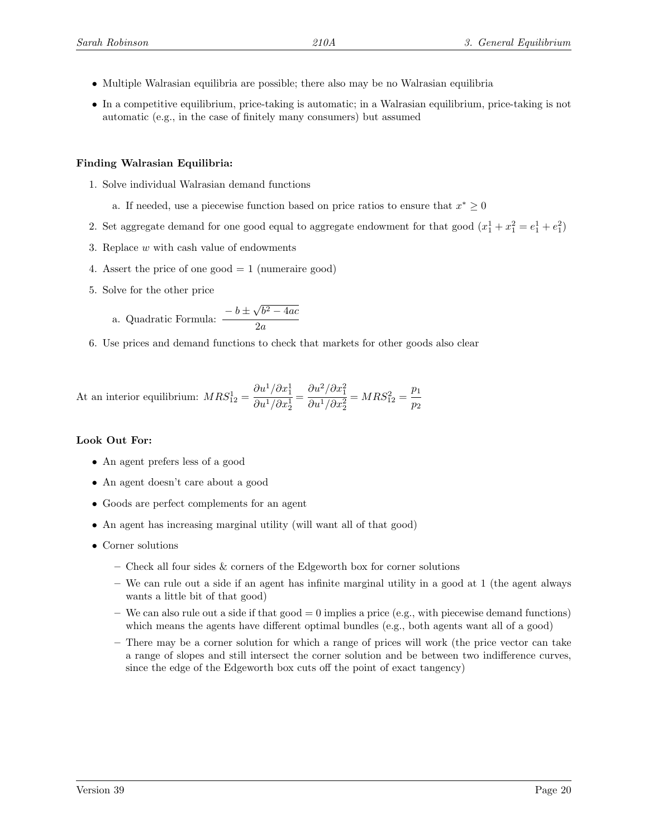- Multiple Walrasian equilibria are possible; there also may be no Walrasian equilibria
- In a competitive equilibrium, price-taking is automatic; in a Walrasian equilibrium, price-taking is not automatic (e.g., in the case of finitely many consumers) but assumed

#### Finding Walrasian Equilibria:

- 1. Solve individual Walrasian demand functions
	- a. If needed, use a piecewise function based on price ratios to ensure that  $x^* \geq 0$
- 2. Set aggregate demand for one good equal to aggregate endowment for that good  $(x_1^1 + x_1^2 = e_1^1 + e_1^2)$
- 3. Replace w with cash value of endowments
- 4. Assert the price of one good  $= 1$  (numeraire good)
- 5. Solve for the other price

a. Quadratic Formula: 
$$
\frac{-b \pm \sqrt{b^2 - 4ac}}{2a}
$$

6. Use prices and demand functions to check that markets for other goods also clear

At an interior equilibrium: 
$$
MRS_{12}^1 = \frac{\partial u^1/\partial x_1^1}{\partial u^1/\partial x_2^1} = \frac{\partial u^2/\partial x_1^2}{\partial u^1/\partial x_2^2} = MRS_{12}^2 = \frac{p_1}{p_2}
$$

#### Look Out For:

- An agent prefers less of a good
- An agent doesn't care about a good
- Goods are perfect complements for an agent
- An agent has increasing marginal utility (will want all of that good)
- Corner solutions
	- Check all four sides & corners of the Edgeworth box for corner solutions
	- We can rule out a side if an agent has infinite marginal utility in a good at 1 (the agent always wants a little bit of that good)
	- We can also rule out a side if that good  $= 0$  implies a price (e.g., with piecewise demand functions) which means the agents have different optimal bundles (e.g., both agents want all of a good)
	- There may be a corner solution for which a range of prices will work (the price vector can take a range of slopes and still intersect the corner solution and be between two indifference curves, since the edge of the Edgeworth box cuts off the point of exact tangency)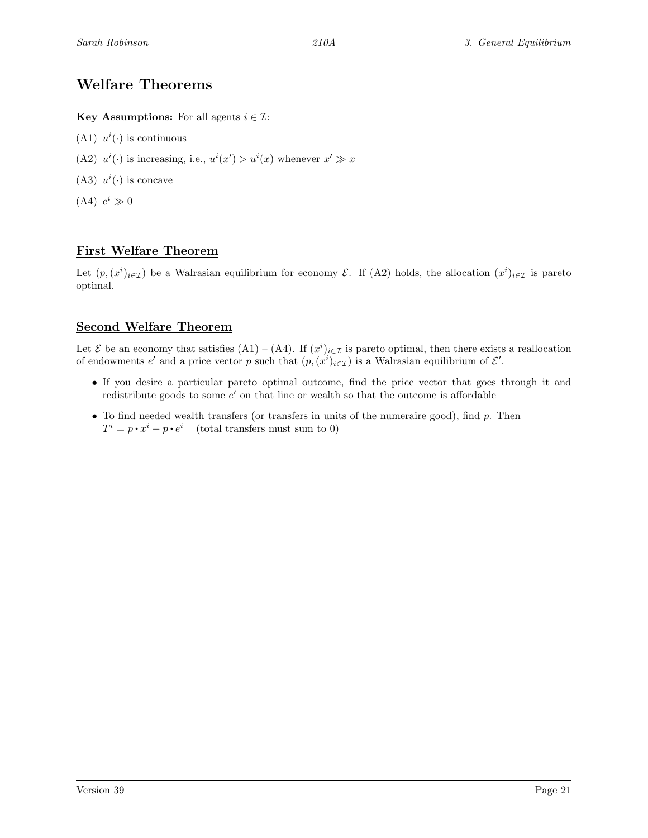# Welfare Theorems

Key Assumptions: For all agents  $i \in \mathcal{I}$ :

- (A1)  $u^{i}(\cdot)$  is continuous
- (A2)  $u^{i}(\cdot)$  is increasing, i.e.,  $u^{i}(x') > u^{i}(x)$  whenever  $x' \gg x$
- (A3)  $u^i(\cdot)$  is concave
- $(A4)$   $e^i \gg 0$

## First Welfare Theorem

Let  $(p,(x^i)_{i\in\mathcal{I}})$  be a Walrasian equilibrium for economy  $\mathcal{E}$ . If (A2) holds, the allocation  $(x^i)_{i\in\mathcal{I}}$  is pareto optimal.

### Second Welfare Theorem

Let  $\mathcal E$  be an economy that satisfies  $(A1) - (A4)$ . If  $(x^i)_{i \in \mathcal I}$  is pareto optimal, then there exists a reallocation of endowments  $e'$  and a price vector p such that  $(p, (x^i)_{i \in \mathcal{I}})$  is a Walrasian equilibrium of  $\mathcal{E}'$ .

- If you desire a particular pareto optimal outcome, find the price vector that goes through it and redistribute goods to some  $e'$  on that line or wealth so that the outcome is affordable
- To find needed wealth transfers (or transfers in units of the numeraire good), find  $p$ . Then  $T^i = p \cdot x^i - p \cdot e^i$  (total transfers must sum to 0)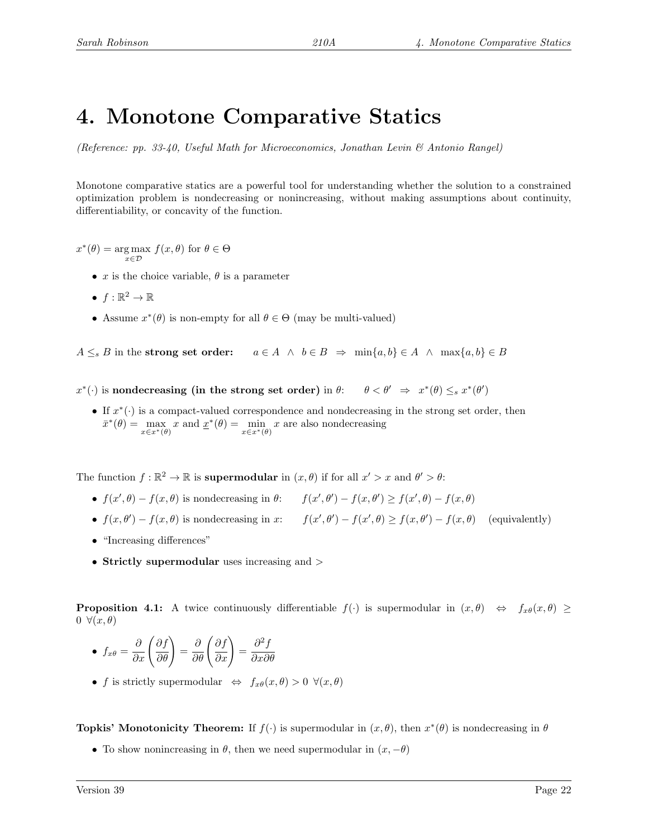# 4. Monotone Comparative Statics

(Reference: pp. 33-40, Useful Math for Microeconomics, Jonathan Levin & Antonio Rangel)

Monotone comparative statics are a powerful tool for understanding whether the solution to a constrained optimization problem is nondecreasing or nonincreasing, without making assumptions about continuity, differentiability, or concavity of the function.

 $x^*(\theta) = \underset{x \in \mathcal{D}}{\arg \max} f(x, \theta)$  for  $\theta \in \Theta$ 

- x is the choice variable,  $\theta$  is a parameter
- $f:\mathbb{R}^2\to\mathbb{R}$
- Assume  $x^*(\theta)$  is non-empty for all  $\theta \in \Theta$  (may be multi-valued)

 $A \leq_{s} B$  in the strong set order:  $a \in A \land b \in B \Rightarrow \min\{a, b\} \in A \land \max\{a, b\} \in B$ 

 $x^*(\cdot)$  is nondecreasing (in the strong set order) in  $\theta$ :  $\theta < \theta' \Rightarrow x$ \* $(\theta) \leq_s x^*(\theta')$ 

• If  $x^*(\cdot)$  is a compact-valued correspondence and nondecreasing in the strong set order, then  $\bar{x}^*(\theta) = \max_{x \in x^*(\theta)} x$  and  $\underline{x}^*(\theta) = \min_{x \in x^*(\theta)} x$  are also nondecreasing

The function  $f : \mathbb{R}^2 \to \mathbb{R}$  is **supermodular** in  $(x, \theta)$  if for all  $x' > x$  and  $\theta' > \theta$ :

- $f(x', \theta) f(x, \theta)$  is nondecreasing in  $\theta$ :  $f(x', \theta') f(x, \theta') \ge f(x', \theta) f(x, \theta)$
- $f(x, \theta') f(x, \theta)$  is nondecreasing in x:  $f(x', \theta') f(x', \theta) \ge f(x, \theta') f(x, \theta)$  (equivalently)
- "Increasing differences"
- Strictly supermodular uses increasing and >

**Proposition 4.1:** A twice continuously differentiable  $f(\cdot)$  is supermodular in  $(x, \theta) \Leftrightarrow f_{x\theta}(x, \theta) \ge$  $0 \forall (x, \theta)$ 

• 
$$
f_{x\theta} = \frac{\partial}{\partial x} \left( \frac{\partial f}{\partial \theta} \right) = \frac{\partial}{\partial \theta} \left( \frac{\partial f}{\partial x} \right) = \frac{\partial^2 f}{\partial x \partial \theta}
$$

• f is strictly supermodular  $\Leftrightarrow f_{x\theta}(x,\theta) > 0 \ \forall (x,\theta)$ 

**Topkis' Monotonicity Theorem:** If  $f(\cdot)$  is supermodular in  $(x, \theta)$ , then  $x^*(\theta)$  is nondecreasing in  $\theta$ 

• To show nonincreasing in  $\theta$ , then we need supermodular in  $(x, -\theta)$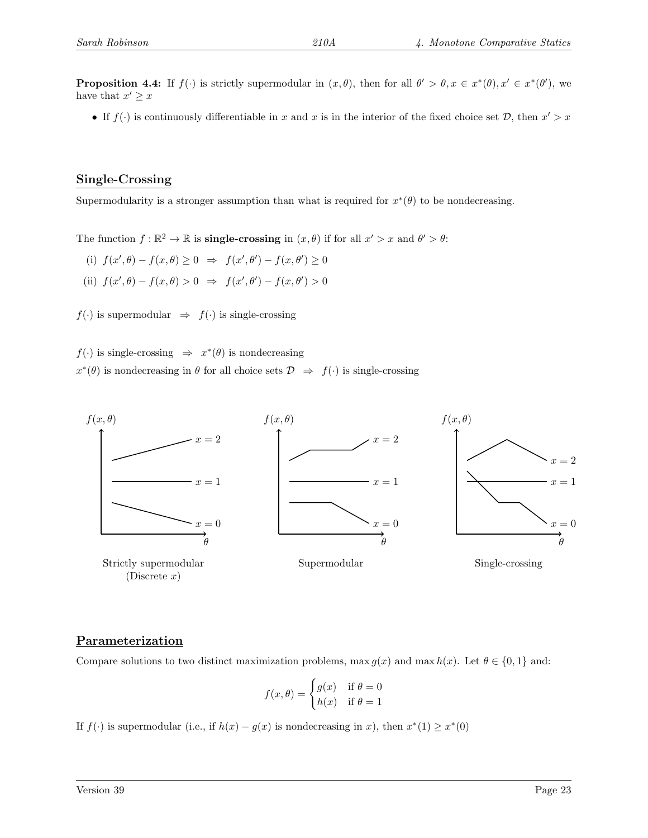**Proposition 4.4:** If  $f(\cdot)$  is strictly supermodular in  $(x, \theta)$ , then for all  $\theta' > \theta, x \in x^*(\theta), x' \in x^*(\theta')$ , we have that  $x' \geq x$ 

• If  $f(\cdot)$  is continuously differentiable in x and x is in the interior of the fixed choice set  $\mathcal{D}$ , then  $x' > x$ 

#### Single-Crossing

Supermodularity is a stronger assumption than what is required for  $x^*(\theta)$  to be nondecreasing.

The function  $f : \mathbb{R}^2 \to \mathbb{R}$  is **single-crossing** in  $(x, \theta)$  if for all  $x' > x$  and  $\theta' > \theta$ :

- (i)  $f(x', \theta) f(x, \theta) \ge 0 \Rightarrow f(x', \theta') f(x, \theta') \ge 0$
- (ii)  $f(x', \theta) f(x, \theta) > 0 \Rightarrow f(x', \theta') f(x, \theta') > 0$

 $f(\cdot)$  is supermodular  $\Rightarrow$   $f(\cdot)$  is single-crossing

 $f(\cdot)$  is single-crossing  $\Rightarrow x^*(\theta)$  is nondecreasing  $x^*(\theta)$  is nondecreasing in  $\theta$  for all choice sets  $\mathcal{D} \Rightarrow f(\cdot)$  is single-crossing



#### Parameterization

Compare solutions to two distinct maximization problems, max  $g(x)$  and max  $h(x)$ . Let  $\theta \in \{0, 1\}$  and:

$$
f(x, \theta) = \begin{cases} g(x) & \text{if } \theta = 0 \\ h(x) & \text{if } \theta = 1 \end{cases}
$$

If  $f(\cdot)$  is supermodular (i.e., if  $h(x) - g(x)$  is nondecreasing in x), then  $x^*(1) \geq x^*(0)$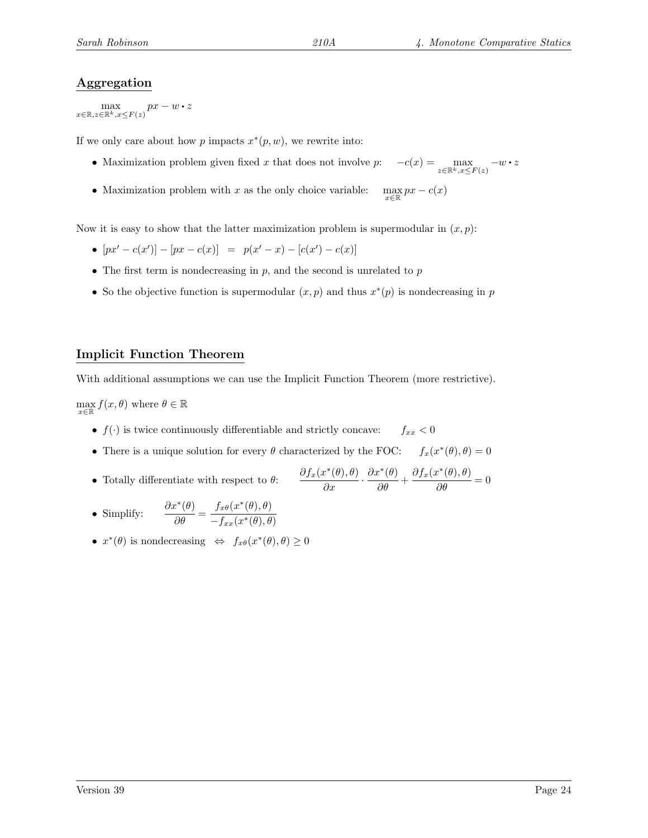### Aggregation

 $\max_{x \in \mathbb{R}, z \in \mathbb{R}^k, x \leq F(z)} px - w \cdot z$ 

If we only care about how p impacts  $x^*(p, w)$ , we rewrite into:

- Maximization problem given fixed x that does not involve  $p: \quad -c(x) = \max_{z \in \mathbb{R}^k, x \leq F(z)} -w \cdot z$
- Maximization problem with  $x$  as the only choice variable:  $\max_{x \in \mathbb{R}} px - c(x)$

Now it is easy to show that the latter maximization problem is supermodular in  $(x, p)$ :

- $[px' c(x')] [px c(x)] = p(x' x) [c(x') c(x)]$
- The first term is nondecreasing in  $p$ , and the second is unrelated to  $p$
- So the objective function is supermodular  $(x, p)$  and thus  $x^*(p)$  is nondecreasing in p

### Implicit Function Theorem

With additional assumptions we can use the Implicit Function Theorem (more restrictive).

 $\max_{x \in \mathbb{R}} f(x, \theta)$  where  $\theta \in \mathbb{R}$ 

- $f(\cdot)$  is twice continuously differentiable and strictly concave:  $f_{xx} < 0$
- There is a unique solution for every  $\theta$  characterized by the FOC:  $^*(\theta), \theta) = 0$
- Totally differentiate with respect to  $\theta$ :  $\frac{\partial f_x(x^*(\theta), \theta)}{\partial x}$ .  $\frac{\partial x^*(\theta)}{\partial \theta} + \frac{\partial f_x(x^*(\theta), \theta)}{\partial \theta} = 0$
- Simplify:  $\frac{\partial x^*(\theta)}{\partial \theta} = \frac{f_{x\theta}(x^*(\theta), \theta)}{-f_{xx}(x^*(\theta), \theta)}$  $-f_{xx}(x^*(\theta),\theta)$
- $x^*(\theta)$  is nondecreasing  $\Leftrightarrow f_{x\theta}(x^*(\theta), \theta) \geq 0$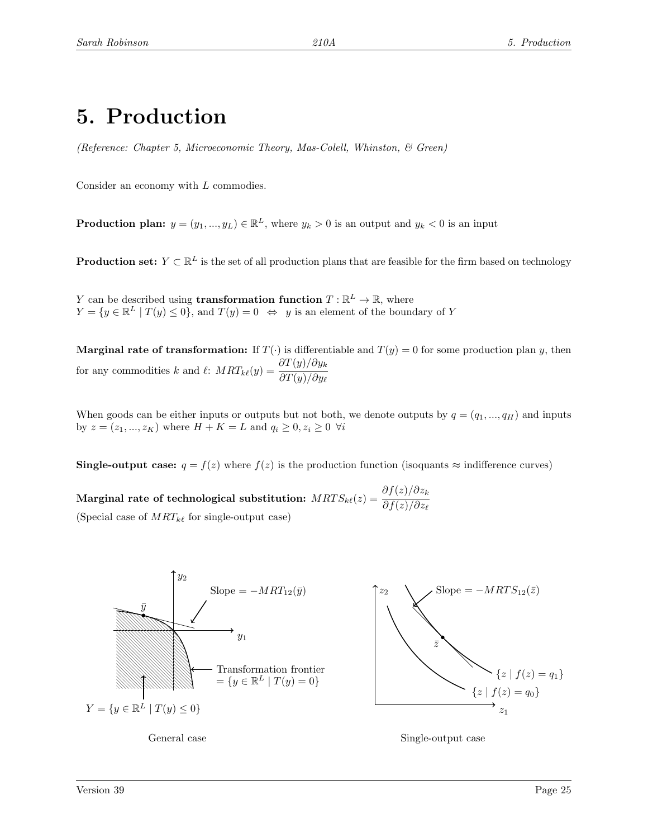# 5. Production

(Reference: Chapter 5, Microeconomic Theory, Mas-Colell, Whinston, & Green)

Consider an economy with L commodies.

**Production plan:**  $y = (y_1, ..., y_L) \in \mathbb{R}^L$ , where  $y_k > 0$  is an output and  $y_k < 0$  is an input

**Production set:**  $Y \subset \mathbb{R}^L$  is the set of all production plans that are feasible for the firm based on technology

Y can be described using **transformation function**  $T : \mathbb{R}^L \to \mathbb{R}$ , where  $Y = \{y \in \mathbb{R}^L | T(y) \le 0\}$ , and  $T(y) = 0 \Leftrightarrow y$  is an element of the boundary of Y

**Marginal rate of transformation:** If  $T(\cdot)$  is differentiable and  $T(y) = 0$  for some production plan y, then for any commodities k and l:  $MRT_{k\ell}(y) = \frac{\partial T(y)/\partial y_k}{\partial T(x)/\partial y_k}$  $\partial T(y)/\partial y_\ell$ 

When goods can be either inputs or outputs but not both, we denote outputs by  $q = (q_1, ..., q_H)$  and inputs by  $z = (z_1, ..., z_K)$  where  $H + K = L$  and  $q_i \ge 0, z_i \ge 0 \ \forall i$ 

Single-output case:  $q = f(z)$  where  $f(z)$  is the production function (isoquants  $\approx$  indifference curves)

Marginal rate of technological substitution:  $MRTS_{k\ell}(z) = \frac{\partial f(z)/\partial z_k}{\partial f(z)/\partial z_k}$  $\partial f(z)/\partial z_\ell$ (Special case of  $MRT_{k\ell}$  for single-output case)



General case Single-output case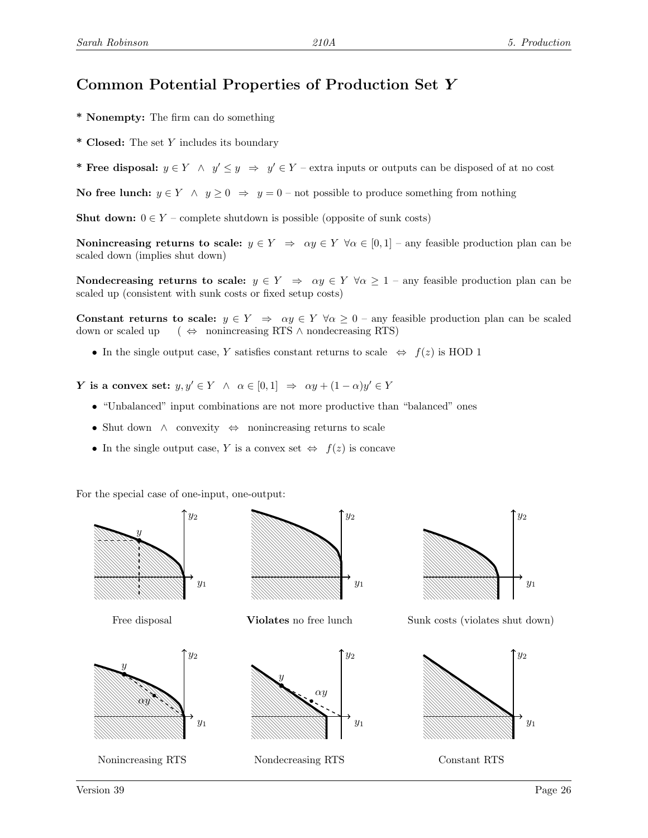# Common Potential Properties of Production Set Y

- \* Nonempty: The firm can do something
- \* Closed: The set Y includes its boundary
- \* Free disposal:  $y \in Y \land y' \leq y \Rightarrow y' \in Y$  extra inputs or outputs can be disposed of at no cost

No free lunch:  $y \in Y \land y \ge 0 \Rightarrow y = 0$  – not possible to produce something from nothing

**Shut down:**  $0 \in Y$  – complete shutdown is possible (opposite of sunk costs)

Nonincreasing returns to scale:  $y \in Y \Rightarrow \alpha y \in Y \forall \alpha \in [0,1]$  – any feasible production plan can be scaled down (implies shut down)

Nondecreasing returns to scale:  $y \in Y \Rightarrow \alpha y \in Y \forall \alpha \geq 1$  – any feasible production plan can be scaled up (consistent with sunk costs or fixed setup costs)

Constant returns to scale:  $y \in Y \implies \alpha y \in Y \ \forall \alpha \geq 0$  – any feasible production plan can be scaled down or scaled up ( $\Leftrightarrow$  nonincreasing RTS ∧ nondecreasing RTS)

• In the single output case, Y satisfies constant returns to scale  $\Leftrightarrow f(z)$  is HOD 1

Y is a convex set:  $y, y' \in Y \land \alpha \in [0, 1] \Rightarrow \alpha y + (1 - \alpha)y' \in Y$ 

- "Unbalanced" input combinations are not more productive than "balanced" ones
- Shut down ∧ convexity ⇔ nonincreasing returns to scale
- In the single output case, Y is a convex set  $\Leftrightarrow f(z)$  is concave

For the special case of one-input, one-output:

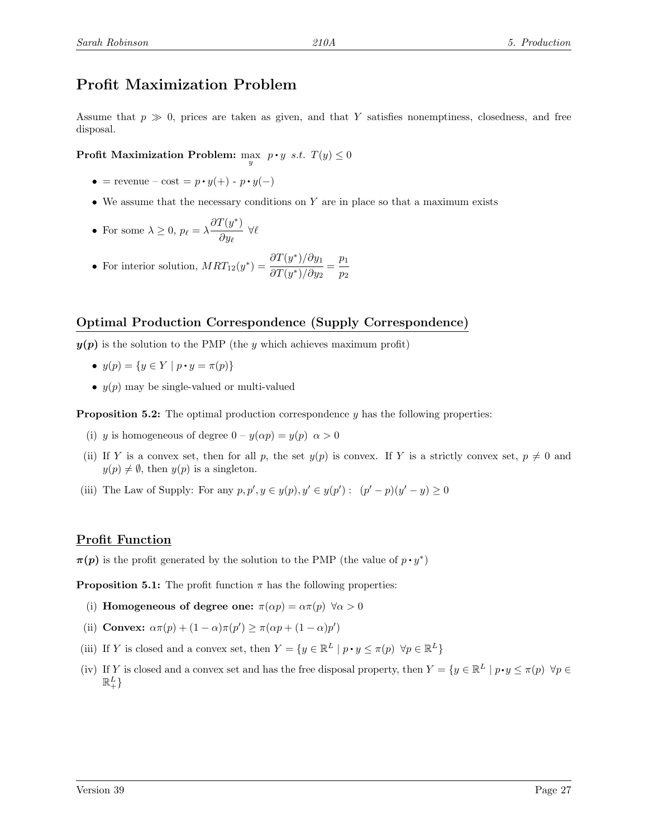# Profit Maximization Problem

Assume that  $p \gg 0$ , prices are taken as given, and that Y satisfies nonemptiness, closedness, and free disposal.

Profit Maximization Problem:  $\max_{y} p \cdot y \text{ s.t. } T(y) \leq 0$ 

- = revenue cost =  $p \cdot y(+)$   $p \cdot y(-)$
- We assume that the necessary conditions on Y are in place so that a maximum exists
- For some  $\lambda \geq 0$ ,  $p_{\ell} = \lambda \frac{\partial T(y^*)}{\partial x_{\ell}}$  $\frac{\partial y_{\ell}}{\partial y_{\ell}} \forall \ell$
- For interior solution,  $MRT_{12}(y^*) = \frac{\partial T(y^*)}{\partial T(x^*)} \frac{\partial y_1}{\partial y_1}$  $\frac{\partial T(y^*)/\partial y_1}{\partial T(y^*)/\partial y_2} = \frac{p_1}{p_2}$  $\overline{p}_2$

### Optimal Production Correspondence (Supply Correspondence)

 $y(p)$  is the solution to the PMP (the y which achieves maximum profit)

- $y(p) = \{y \in Y \mid p \cdot y = \pi(p)\}\$
- $y(p)$  may be single-valued or multi-valued

**Proposition 5.2:** The optimal production correspondence  $y$  has the following properties:

- (i) y is homogeneous of degree  $0 y(\alpha p) = y(p) \alpha > 0$
- (ii) If Y is a convex set, then for all p, the set  $y(p)$  is convex. If Y is a strictly convex set,  $p \neq 0$  and  $y(p) \neq \emptyset$ , then  $y(p)$  is a singleton.
- (iii) The Law of Supply: For any  $p, p', y \in y(p), y' \in y(p') : (p' p)(y' y) \ge 0$

#### Profit Function

 $\pi(p)$  is the profit generated by the solution to the PMP (the value of  $p \cdot y^*$ )

**Proposition 5.1:** The profit function  $\pi$  has the following properties:

- (i) Homogeneous of degree one:  $\pi(\alpha p) = \alpha \pi(p) \ \forall \alpha > 0$
- (ii) Convex:  $\alpha \pi(p) + (1 \alpha) \pi(p') \geq \pi(\alpha p + (1 \alpha)p')$
- (iii) If Y is closed and a convex set, then  $Y = \{y \in \mathbb{R}^L \mid p \cdot y \leq \pi(p) \ \forall p \in \mathbb{R}^L\}$
- (iv) If Y is closed and a convex set and has the free disposal property, then  $Y = \{y \in \mathbb{R}^L \mid p \cdot y \leq \pi(p) \, \forall p \in \mathbb{R}^L \mid p \cdot y \leq \pi(p) \}$  $\mathbb{R}^L_+$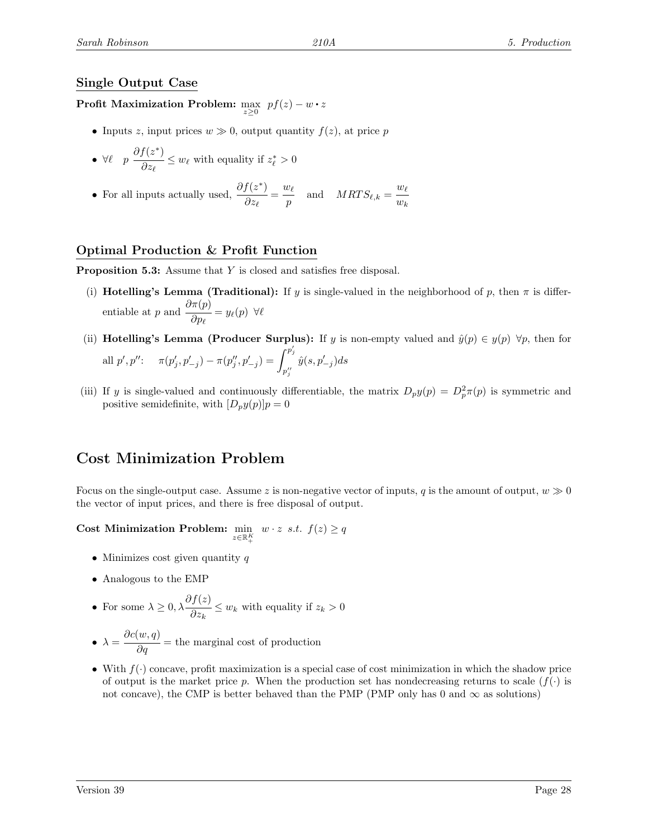### Single Output Case

Profit Maximization Problem:  $\max_{z\geq 0}~pf(z)-w\bm{\cdot} z$ 

- Inputs z, input prices  $w \gg 0$ , output quantity  $f(z)$ , at price p
- $\forall \ell \quad p \frac{\partial f(z^*)}{\partial z^*}$  $\frac{\partial^2 z}{\partial z_\ell} \leq w_\ell$  with equality if  $z_\ell^* > 0$
- For all inputs actually used,  $\frac{\partial f(z^*)}{\partial x^2}$  $\frac{f(z^*)}{\partial z_\ell} = \frac{w_\ell}{p}$  $\frac{w_{\ell}}{p}$  and  $MRTS_{\ell,k} = \frac{w_{\ell}}{w_k}$  $w_k$

### Optimal Production & Profit Function

Proposition 5.3: Assume that Y is closed and satisfies free disposal.

- (i) **Hotelling's Lemma (Traditional):** If y is single-valued in the neighborhood of p, then  $\pi$  is differentiable at p and  $\frac{\partial \pi(p)}{\partial}$  $\frac{\partial^{\alpha} \langle P \rangle}{\partial p_{\ell}} = y_{\ell}(p) \ \ \forall \ell$
- (ii) **Hotelling's Lemma (Producer Surplus):** If y is non-empty valued and  $\hat{y}(p) \in y(p)$   $\forall p$ , then for all  $p', p''$ :  $\pi(p'_j, p'_{-j}) - \pi(p''_j, p'_{-j}) = \int^{p'_j}$  $p_j''$  $\hat{y}(s, p_{-j}')ds$
- (iii) If y is single-valued and continuously differentiable, the matrix  $D_p y(p) = D_p^2 \pi(p)$  is symmetric and positive semidefinite, with  $[D_p y(p)]p = 0$

# Cost Minimization Problem

Focus on the single-output case. Assume z is non-negative vector of inputs, q is the amount of output,  $w \gg 0$ the vector of input prices, and there is free disposal of output.

Cost Minimization Problem:  $\min_{z \in \mathbb{R}^K_+}$  $w \cdot z$  s.t.  $f(z) \geq q$ 

- Minimizes cost given quantity q
- Analogous to the EMP

• For some 
$$
\lambda \geq 0
$$
,  $\lambda \frac{\partial f(z)}{\partial z_k} \leq w_k$  with equality if  $z_k > 0$ 

- $\lambda = \frac{\partial c(w, q)}{\partial q}$  = the marginal cost of production
- With  $f(\cdot)$  concave, profit maximization is a special case of cost minimization in which the shadow price of output is the market price p. When the production set has nondecreasing returns to scale  $(f(\cdot))$  is not concave), the CMP is better behaved than the PMP (PMP only has 0 and  $\infty$  as solutions)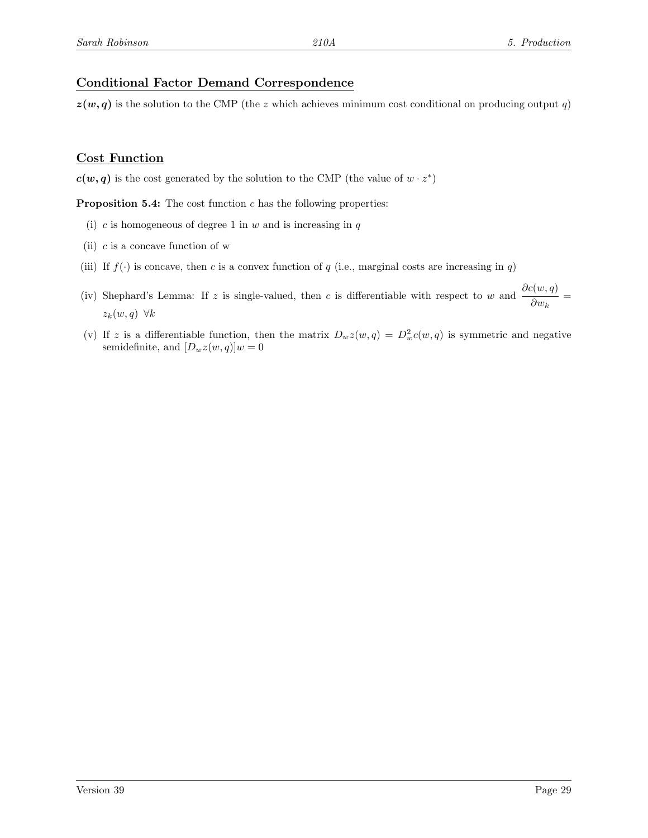## Conditional Factor Demand Correspondence

 $z(w, q)$  is the solution to the CMP (the z which achieves minimum cost conditional on producing output q)

### Cost Function

 $c(w, q)$  is the cost generated by the solution to the CMP (the value of  $w \cdot z^*$ )

**Proposition 5.4:** The cost function  $c$  has the following properties:

- (i) c is homogeneous of degree 1 in  $w$  and is increasing in  $q$
- (ii)  $c$  is a concave function of w
- (iii) If  $f(\cdot)$  is concave, then c is a convex function of q (i.e., marginal costs are increasing in q)
- (iv) Shephard's Lemma: If z is single-valued, then c is differentiable with respect to w and  $\frac{\partial c(w,q)}{\partial x}$  $\frac{\partial w_k}{\partial w_k} =$  $z_k(w, q) \forall k$
- (v) If z is a differentiable function, then the matrix  $D_w z(w, q) = D_w^2 c(w, q)$  is symmetric and negative semidefinite, and  $[D_wz(w, q)]w = 0$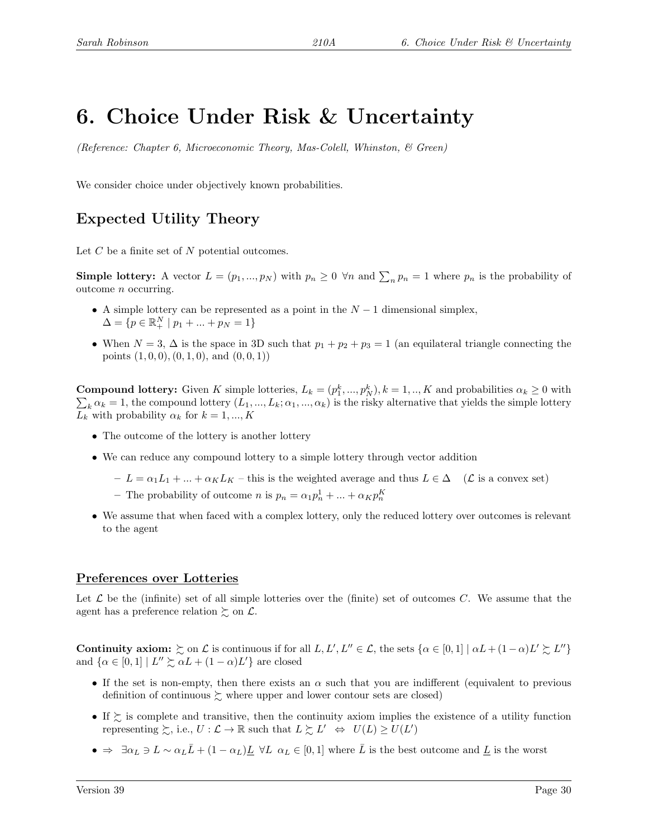# 6. Choice Under Risk & Uncertainty

(Reference: Chapter 6, Microeconomic Theory, Mas-Colell, Whinston,  $\mathcal{B}$  Green)

We consider choice under objectively known probabilities.

# Expected Utility Theory

Let  $C$  be a finite set of  $N$  potential outcomes.

**Simple lottery:** A vector  $L = (p_1, ..., p_N)$  with  $p_n \geq 0 \forall n$  and  $\sum_n p_n = 1$  where  $p_n$  is the probability of outcome n occurring.

- A simple lottery can be represented as a point in the  $N-1$  dimensional simplex,  $\Delta = \{p \in \mathbb{R}^N_+ \mid p_1 + ... + p_N = 1\}$
- When  $N = 3$ ,  $\Delta$  is the space in 3D such that  $p_1 + p_2 + p_3 = 1$  (an equilateral triangle connecting the points  $(1, 0, 0), (0, 1, 0),$  and  $(0, 0, 1)$

**Compound lottery:** Given K simple lotteries,  $L_k = (p_1^k, ..., p_N^k)$ ,  $k = 1, ..., K$  and probabilities  $\alpha_k \ge 0$  with  $\sum_k \alpha_k = 1$ , the compound lottery  $(L_1, ..., L_k; \alpha_1, ..., \alpha_k)$  is the risky alternative that yields the simple lottery  $L_k$  with probability  $\alpha_k$  for  $k = 1, ..., K$ 

- The outcome of the lottery is another lottery
- We can reduce any compound lottery to a simple lottery through vector addition
	- $-L = \alpha_1 L_1 + ... + \alpha_K L_K$  this is the weighted average and thus  $L \in \Delta$  ( $\mathcal{L}$  is a convex set)
	- The probability of outcome *n* is  $p_n = \alpha_1 p_n^1 + \dots + \alpha_K p_n^K$
- We assume that when faced with a complex lottery, only the reduced lottery over outcomes is relevant to the agent

## Preferences over Lotteries

Let  $\mathcal L$  be the (infinite) set of all simple lotteries over the (finite) set of outcomes C. We assume that the agent has a preference relation  $\succsim$  on  $\mathcal{L}$ .

Continuity axiom:  $\geq$  on  $\mathcal L$  is continuous if for all  $L, L', L'' \in \mathcal L$ , the sets  $\{\alpha \in [0,1] \mid \alpha L + (1-\alpha)L' \geq L''\}$ and  $\{\alpha \in [0,1] \mid L'' \succsim \alpha L + (1-\alpha)L'\}$  are closed

- If the set is non-empty, then there exists an  $\alpha$  such that you are indifferent (equivalent to previous definition of continuous  $\gtrsim$  where upper and lower contour sets are closed)
- If  $\succeq$  is complete and transitive, then the continuity axiom implies the existence of a utility function representing  $\succsim$ , i.e.,  $U : \mathcal{L} \to \mathbb{R}$  such that  $L \succsim L' \Leftrightarrow U(L) \geq U(L')$
- $\bullet \Rightarrow \exists \alpha_L \ni L \sim \alpha_L \bar{L} + (1 \alpha_L) \underline{L} \ \forall L \ \alpha_L \in [0,1]$  where  $\bar{L}$  is the best outcome and  $\underline{L}$  is the worst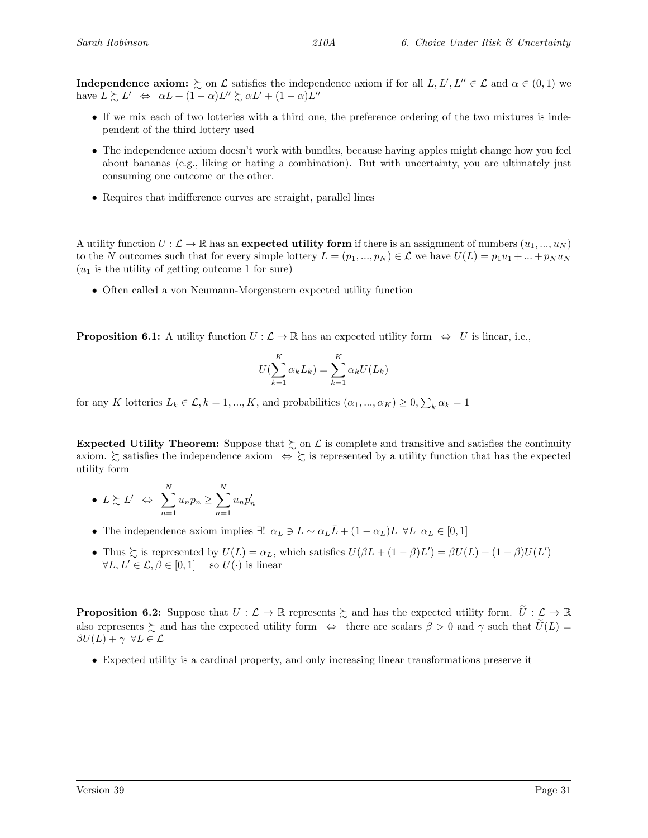**Independence axiom:**  $\succeq$  on  $\mathcal L$  satisfies the independence axiom if for all  $L, L', L'' \in \mathcal L$  and  $\alpha \in (0, 1)$  we have  $L \gtrsim L' \Leftrightarrow \alpha L + (1 - \alpha)L'' \gtrsim \alpha L' + (1 - \alpha)L''$ 

- If we mix each of two lotteries with a third one, the preference ordering of the two mixtures is independent of the third lottery used
- The independence axiom doesn't work with bundles, because having apples might change how you feel about bananas (e.g., liking or hating a combination). But with uncertainty, you are ultimately just consuming one outcome or the other.
- Requires that indifference curves are straight, parallel lines

A utility function  $U: \mathcal{L} \to \mathbb{R}$  has an expected utility form if there is an assignment of numbers  $(u_1, ..., u_N)$ to the N outcomes such that for every simple lottery  $L = (p_1, ..., p_N) \in \mathcal{L}$  we have  $U(L) = p_1u_1 + ... + p_Nu_N$  $(u_1)$  is the utility of getting outcome 1 for sure)

• Often called a von Neumann-Morgenstern expected utility function

**Proposition 6.1:** A utility function  $U : \mathcal{L} \to \mathbb{R}$  has an expected utility form  $\Leftrightarrow U$  is linear, i.e.,

$$
U(\sum_{k=1}^{K} \alpha_k L_k) = \sum_{k=1}^{K} \alpha_k U(L_k)
$$

for any K lotteries  $L_k \in \mathcal{L}, k = 1, ..., K$ , and probabilities  $(\alpha_1, ..., \alpha_K) \geq 0, \sum_k \alpha_k = 1$ 

Expected Utility Theorem: Suppose that  $\gtrsim$  on  $\mathcal L$  is complete and transitive and satisfies the continuity axiom.  $\gtrsim$  satisfies the independence axiom  $\Leftrightarrow \gtrsim$  is represented by a utility function that has the expected utility form

• 
$$
L \succsim L'
$$
  $\Leftrightarrow \sum_{n=1}^{N} u_n p_n \ge \sum_{n=1}^{N} u_n p'_n$ 

- The independence axiom implies ∃!  $\alpha_L \ni L \sim \alpha_L \bar{L} + (1 \alpha_L) \underline{L} \ \forall L \ \alpha_L \in [0, 1]$
- Thus  $\succsim$  is represented by  $U(L) = \alpha_L$ , which satisfies  $U(\beta L + (1 \beta)L') = \beta U(L) + (1 \beta)U(L')$  $\forall L, L' \in \mathcal{L}, \beta \in [0, 1]$  so  $U(\cdot)$  is linear

**Proposition 6.2:** Suppose that  $U : \mathcal{L} \to \mathbb{R}$  represents  $\succsim$  and has the expected utility form.  $\widetilde{U} : \mathcal{L} \to \mathbb{R}$ also represents  $\gtrsim$  and has the expected utility form  $\Leftrightarrow$  there are scalars  $\beta > 0$  and  $\gamma$  such that  $U(L)$  =  $\beta U(L) + \gamma \ \forall L \in \mathcal{L}$ 

• Expected utility is a cardinal property, and only increasing linear transformations preserve it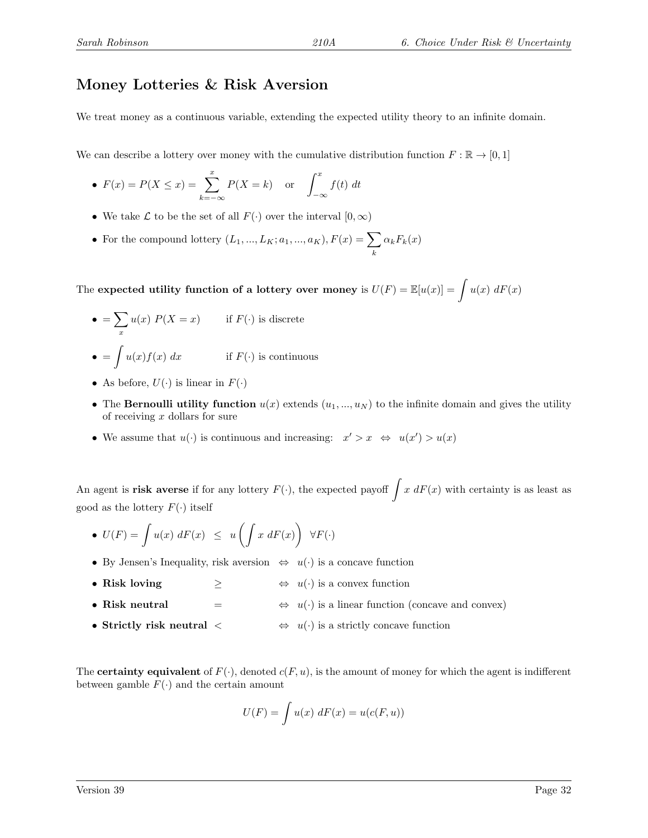# Money Lotteries & Risk Aversion

We treat money as a continuous variable, extending the expected utility theory to an infinite domain.

We can describe a lottery over money with the cumulative distribution function  $F : \mathbb{R} \to [0,1]$ 

• 
$$
F(x) = P(X \le x) = \sum_{k=-\infty}^{x} P(X = k)
$$
 or  $\int_{-\infty}^{x} f(t) dt$ 

- We take  $\mathcal L$  to be the set of all  $F(\cdot)$  over the interval  $[0,\infty)$
- For the compound lottery  $(L_1, ..., L_K; a_1, ..., a_K)$ ,  $F(x) = \sum$ k  $\alpha_k F_k(x)$

The expected utility function of a lottery over money is  $U(F) = \mathbb{E}[u(x)] = \int u(x) dF(x)$ 

- $\bullet = \sum$ x  $u(x) P(X = x)$  if  $F(\cdot)$  is discrete  $\bullet = \int u(x)f(x) dx$  if  $F(\cdot)$  is continuous
- As before,  $U(\cdot)$  is linear in  $F(\cdot)$
- The Bernoulli utility function  $u(x)$  extends  $(u_1, ..., u_N)$  to the infinite domain and gives the utility of receiving  $x$  dollars for sure
- We assume that  $u(\cdot)$  is continuous and increasing:  $x' > x \Leftrightarrow u(x') > u(x)$

An agent is **risk averse** if for any lottery  $F(\cdot)$ , the expected payoff  $\int x dF(x)$  with certainty is as least as good as the lottery  $F(\cdot)$  itself

- $U(F) = \int u(x) dF(x) \leq u \left( \int x dF(x) \right) \forall F(\cdot)$
- By Jensen's Inequality, risk aversion  $\Leftrightarrow u(\cdot)$  is a concave function
- Risk loving  $\geq$   $\Leftrightarrow$   $u(\cdot)$  is a convex function
- Risk neutral  $=$   $\Leftrightarrow$   $u(\cdot)$  is a linear function (concave and convex)
- Strictly risk neutral  $\leq$   $\Leftrightarrow$   $u(\cdot)$  is a strictly concave function

The **certainty equivalent** of  $F(\cdot)$ , denoted  $c(F, u)$ , is the amount of money for which the agent is indifferent between gamble  $F(\cdot)$  and the certain amount

$$
U(F) = \int u(x) \, dF(x) = u(c(F, u))
$$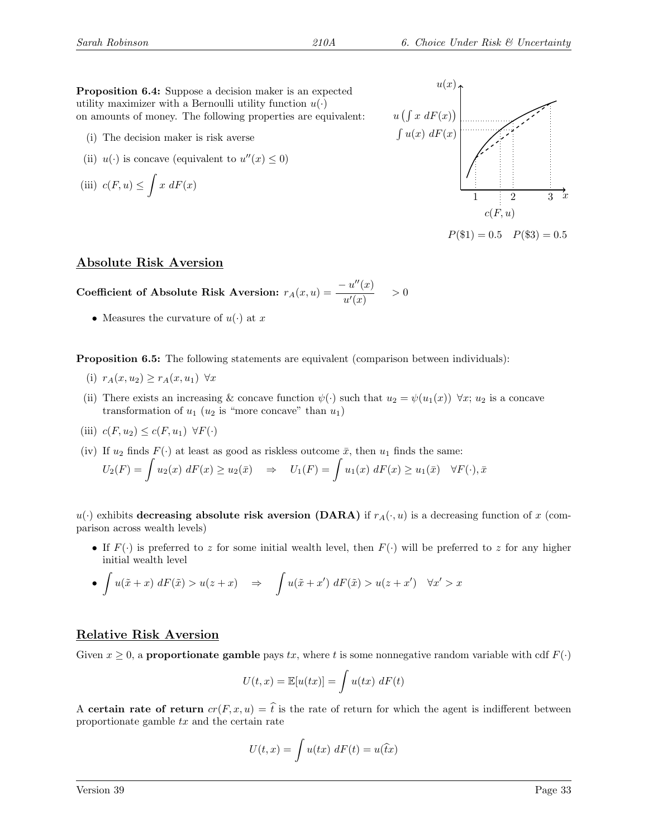Proposition 6.4: Suppose a decision maker is an expected utility maximizer with a Bernoulli utility function  $u(\cdot)$ on amounts of money. The following properties are equivalent:

- (i) The decision maker is risk averse
- (ii)  $u(\cdot)$  is concave (equivalent to  $u''(x) \leq 0$ )

(iii) 
$$
c(F, u) \leq \int x \ dF(x)
$$



#### Absolute Risk Aversion

Coefficient of Absolute Risk Aversion:  $r_A(x, u) = \frac{-u''(x)}{u'(x)}$  $\frac{u'(x)}{u'(x)}$  > 0

• Measures the curvature of  $u(\cdot)$  at x

Proposition 6.5: The following statements are equivalent (comparison between individuals):

- (i)  $r_A(x, u_2) \ge r_A(x, u_1) \quad \forall x$
- (ii) There exists an increasing & concave function  $\psi(\cdot)$  such that  $u_2 = \psi(u_1(x)) \ \forall x; u_2$  is a concave transformation of  $u_1$  ( $u_2$  is "more concave" than  $u_1$ )
- (iii)  $c(F, u_2) \leq c(F, u_1) \ \forall F(\cdot)$
- (iv) If  $u_2$  finds  $F(\cdot)$  at least as good as riskless outcome  $\bar{x}$ , then  $u_1$  finds the same:

$$
U_2(F) = \int u_2(x) dF(x) \ge u_2(\bar{x}) \quad \Rightarrow \quad U_1(F) = \int u_1(x) dF(x) \ge u_1(\bar{x}) \quad \forall F(\cdot), \bar{x}
$$

 $u(\cdot)$  exhibits decreasing absolute risk aversion (DARA) if  $r_A(\cdot, u)$  is a decreasing function of x (comparison across wealth levels)

• If  $F(\cdot)$  is preferred to z for some initial wealth level, then  $F(\cdot)$  will be preferred to z for any higher initial wealth level

• 
$$
\int u(\tilde{x} + x) dF(\tilde{x}) > u(z + x)
$$
  $\Rightarrow \int u(\tilde{x} + x') dF(\tilde{x}) > u(z + x') \quad \forall x' > x$ 

#### Relative Risk Aversion

Given  $x \geq 0$ , a **proportionate gamble** pays tx, where t is some nonnegative random variable with cdf  $F(\cdot)$ 

$$
U(t,x) = \mathbb{E}[u(tx)] = \int u(tx) \, dF(t)
$$

A certain rate of return  $cr(F, x, u) = \hat{t}$  is the rate of return for which the agent is indifferent between proportionate gamble  $tx$  and the certain rate

$$
U(t,x) = \int u(tx) \, dF(t) = u(\hat{t}x)
$$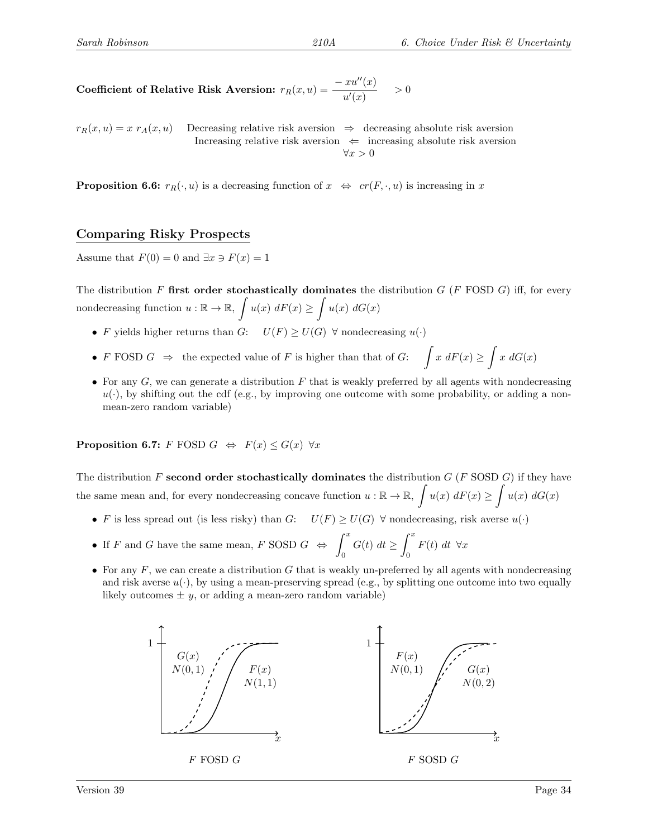Coefficient of Relative Risk Aversion:  $r_R(x, u) =$  $- xu''(x)$  $\frac{d}{u'(x)}$  > 0

 $r_R(x, u) = x r_A(x, u)$  Decreasing relative risk aversion  $\Rightarrow$  decreasing absolute risk aversion Increasing relative risk aversion  $\Leftarrow$  increasing absolute risk aversion  $\forall x > 0$ 

**Proposition 6.6:**  $r_R(\cdot, u)$  is a decreasing function of  $x \Leftrightarrow cr(F, \cdot, u)$  is increasing in x

#### Comparing Risky Prospects

Assume that  $F(0) = 0$  and  $\exists x \ni F(x) = 1$ 

The distribution F first order stochastically dominates the distribution  $G$  (F FOSD  $G$ ) iff, for every nondecreasing function  $u : \mathbb{R} \to \mathbb{R}$ ,  $\int u(x) dF(x) \ge \int u(x) dG(x)$ 

- F yields higher returns than  $G: U(F) \geq U(G)$   $\forall$  nondecreasing  $u(\cdot)$
- F FOSD  $G \Rightarrow$  the expected value of F is higher than that of  $G: \int x \, dF(x) \ge \int x \, dG(x)$
- For any  $G$ , we can generate a distribution  $F$  that is weakly preferred by all agents with nondecreasing  $u(\cdot)$ , by shifting out the cdf (e.g., by improving one outcome with some probability, or adding a nonmean-zero random variable)

**Proposition 6.7:** F FOSD  $G \Leftrightarrow F(x) \leq G(x) \forall x$ 

The distribution F second order stochastically dominates the distribution  $G$  (F SOSD  $G$ ) if they have the same mean and, for every nondecreasing concave function  $u : \mathbb{R} \to \mathbb{R}$ ,  $\int u(x) dF(x) \ge \int u(x) dG(x)$ 

- F is less spread out (is less risky) than G:  $U(F) \geq U(G)$   $\forall$  nondecreasing, risk averse  $u(\cdot)$
- If F and G have the same mean, F SOSD  $G \Leftrightarrow \int^x$ 0  $G(t) dt \geq \int_0^x$ 0  $F(t) dt \forall x$
- For any  $F$ , we can create a distribution  $G$  that is weakly un-preferred by all agents with nondecreasing and risk averse  $u(\cdot)$ , by using a mean-preserving spread (e.g., by splitting one outcome into two equally likely outcomes  $\pm y$ , or adding a mean-zero random variable)

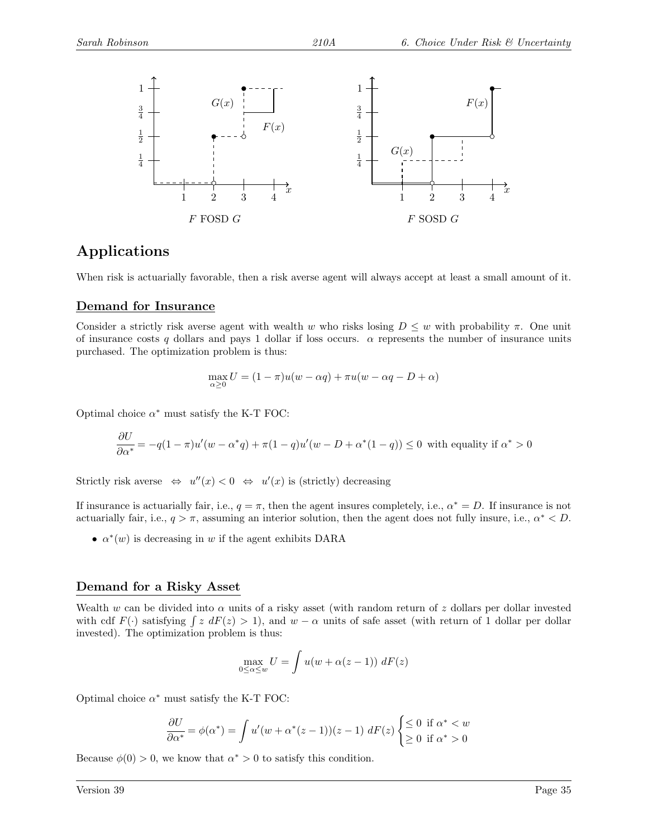

## Applications

When risk is actuarially favorable, then a risk averse agent will always accept at least a small amount of it.

#### Demand for Insurance

Consider a strictly risk averse agent with wealth w who risks losing  $D \leq w$  with probability  $\pi$ . One unit of insurance costs q dollars and pays 1 dollar if loss occurs.  $\alpha$  represents the number of insurance units purchased. The optimization problem is thus:

$$
\max_{\alpha \ge 0} U = (1 - \pi)u(w - \alpha q) + \pi u(w - \alpha q - D + \alpha)
$$

Optimal choice  $\alpha^*$  must satisfy the K-T FOC:

$$
\frac{\partial U}{\partial \alpha^*} = -q(1-\pi)u'(w-\alpha^*q) + \pi(1-q)u'(w-D+\alpha^*(1-q)) \le 0
$$
 with equality if  $\alpha^* > 0$ 

Strictly risk averse  $\Leftrightarrow u''(x) < 0 \Leftrightarrow u'(x)$  is (strictly) decreasing

If insurance is actuarially fair, i.e.,  $q = \pi$ , then the agent insures completely, i.e.,  $\alpha^* = D$ . If insurance is not actuarially fair, i.e.,  $q > \pi$ , assuming an interior solution, then the agent does not fully insure, i.e.,  $\alpha^* < D$ .

•  $\alpha^*(w)$  is decreasing in w if the agent exhibits DARA

#### Demand for a Risky Asset

Wealth w can be divided into  $\alpha$  units of a risky asset (with random return of z dollars per dollar invested with cdf  $F(\cdot)$  satisfying  $\int z dF(z) > 1$ , and  $w - \alpha$  units of safe asset (with return of 1 dollar per dollar invested). The optimization problem is thus:

$$
\max_{0 \le \alpha \le w} U = \int u(w + \alpha(z - 1)) \, dF(z)
$$

Optimal choice  $\alpha^*$  must satisfy the K-T FOC:

$$
\frac{\partial U}{\partial \alpha^*} = \phi(\alpha^*) = \int u'(w + \alpha^*(z - 1))(z - 1) dF(z) \begin{cases} \leq 0 & \text{if } \alpha^* < w \\ \geq 0 & \text{if } \alpha^* > 0 \end{cases}
$$

Because  $\phi(0) > 0$ , we know that  $\alpha^* > 0$  to satisfy this condition.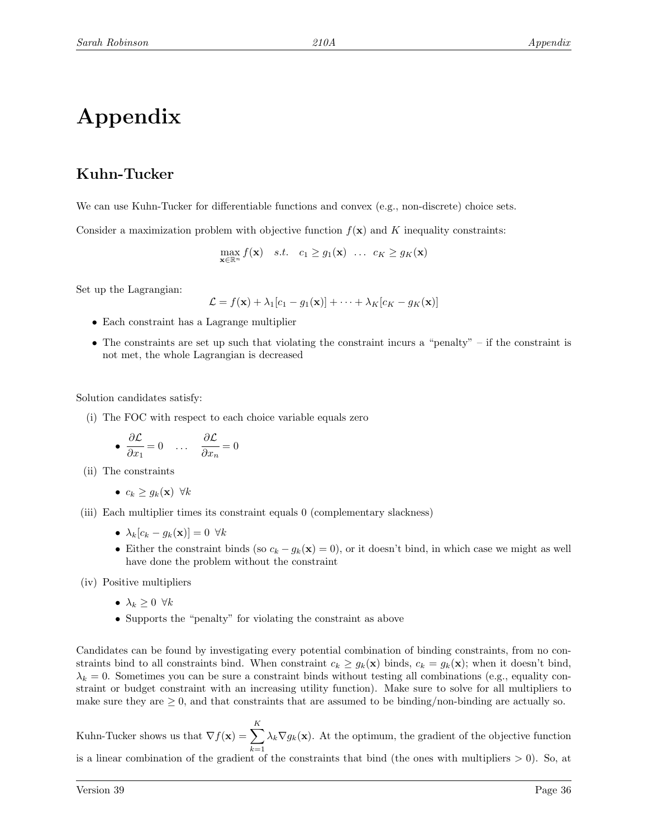# Appendix

# Kuhn-Tucker

We can use Kuhn-Tucker for differentiable functions and convex (e.g., non-discrete) choice sets.

Consider a maximization problem with objective function  $f(\mathbf{x})$  and K inequality constraints:

$$
\max_{\mathbf{x} \in \mathbb{R}^n} f(\mathbf{x}) \quad s.t. \quad c_1 \ge g_1(\mathbf{x}) \quad \dots \quad c_K \ge g_K(\mathbf{x})
$$

Set up the Lagrangian:

$$
\mathcal{L} = f(\mathbf{x}) + \lambda_1[c_1 - g_1(\mathbf{x})] + \cdots + \lambda_K[c_K - g_K(\mathbf{x})]
$$

- Each constraint has a Lagrange multiplier
- The constraints are set up such that violating the constraint incurs a "penalty" if the constraint is not met, the whole Lagrangian is decreased

Solution candidates satisfy:

(i) The FOC with respect to each choice variable equals zero

• 
$$
\frac{\partial \mathcal{L}}{\partial x_1} = 0
$$
 ...  $\frac{\partial \mathcal{L}}{\partial x_n} = 0$ 

(ii) The constraints

•  $c_k > q_k(\mathbf{x}) \ \forall k$ 

- (iii) Each multiplier times its constraint equals 0 (complementary slackness)
	- $\lambda_k[c_k g_k(\mathbf{x})] = 0 \ \forall k$
	- Either the constraint binds (so  $c_k g_k(\mathbf{x}) = 0$ ), or it doesn't bind, in which case we might as well have done the problem without the constraint

(iv) Positive multipliers

- $\lambda_k \geq 0 \ \forall k$
- Supports the "penalty" for violating the constraint as above

Candidates can be found by investigating every potential combination of binding constraints, from no constraints bind to all constraints bind. When constraint  $c_k \ge g_k(\mathbf{x})$  binds,  $c_k = g_k(\mathbf{x})$ ; when it doesn't bind,  $\lambda_k = 0$ . Sometimes you can be sure a constraint binds without testing all combinations (e.g., equality constraint or budget constraint with an increasing utility function). Make sure to solve for all multipliers to make sure they are  $\geq 0$ , and that constraints that are assumed to be binding/non-binding are actually so.

Kuhn-Tucker shows us that  $\nabla f(\mathbf{x}) = \sum_{k=1}^{K}$  $k=1$  $\lambda_k \nabla g_k(\mathbf{x})$ . At the optimum, the gradient of the objective function is a linear combination of the gradient of the constraints that bind (the ones with multipliers  $> 0$ ). So, at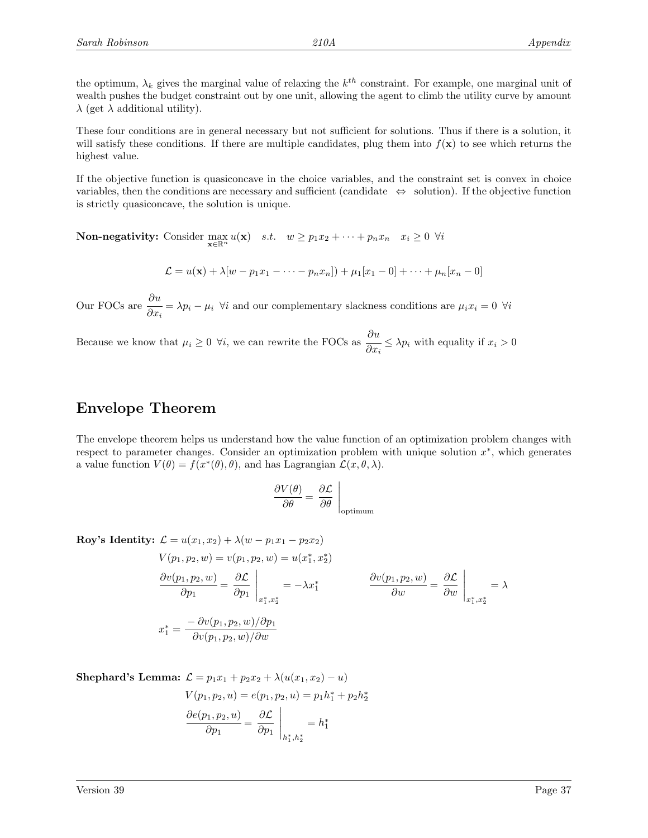the optimum,  $\lambda_k$  gives the marginal value of relaxing the  $k^{th}$  constraint. For example, one marginal unit of wealth pushes the budget constraint out by one unit, allowing the agent to climb the utility curve by amount  $\lambda$  (get  $\lambda$  additional utility).

These four conditions are in general necessary but not sufficient for solutions. Thus if there is a solution, it will satisfy these conditions. If there are multiple candidates, plug them into  $f(\mathbf{x})$  to see which returns the highest value.

If the objective function is quasiconcave in the choice variables, and the constraint set is convex in choice variables, then the conditions are necessary and sufficient (candidate  $\Leftrightarrow$  solution). If the objective function is strictly quasiconcave, the solution is unique.

**Non-negativity:** Consider  $\max_{\mathbf{x} \in \mathbb{R}^n} u(\mathbf{x})$  *s.t.*  $w \ge p_1 x_2 + \cdots + p_n x_n$   $x_i \ge 0$   $\forall i$ 

$$
\mathcal{L} = u(\mathbf{x}) + \lambda [w - p_1 x_1 - \dots - p_n x_n] + \mu_1 [x_1 - 0] + \dots + \mu_n [x_n - 0]
$$

Our FOCs are  $\frac{\partial u}{\partial x}$  $\frac{\partial^2 u}{\partial x_i} = \lambda p_i - \mu_i$   $\forall i$  and our complementary slackness conditions are  $\mu_i x_i = 0$   $\forall i$ 

Because we know that  $\mu_i \geq 0$   $\forall i$ , we can rewrite the FOCs as  $\frac{\partial u}{\partial x_i}$  $\frac{\partial}{\partial x_i} \leq \lambda p_i$  with equality if  $x_i > 0$ 

## Envelope Theorem

The envelope theorem helps us understand how the value function of an optimization problem changes with respect to parameter changes. Consider an optimization problem with unique solution  $x^*$ , which generates a value function  $V(\theta) = f(x^*(\theta), \theta)$ , and has Lagrangian  $\mathcal{L}(x, \theta, \lambda)$ .

$$
\frac{\partial V(\theta)}{\partial \theta} = \frac{\partial \mathcal{L}}{\partial \theta} \bigg|_{\text{optimum}}
$$

Roy's Identity:  $\mathcal{L} = u(x_1, x_2) + \lambda (w - p_1 x_1 - p_2 x_2)$ 

$$
V(p_1, p_2, w) = v(p_1, p_2, w) = u(x_1^*, x_2^*)
$$
  
\n
$$
\frac{\partial v(p_1, p_2, w)}{\partial p_1} = \frac{\partial \mathcal{L}}{\partial p_1} \Big|_{x_1^*, x_2^*} = -\lambda x_1^*
$$
  
\n
$$
\frac{\partial v(p_1, p_2, w)}{\partial w} = \frac{\partial \mathcal{L}}{\partial w} \Big|_{x_1^*, x_2^*} = \lambda
$$
  
\n
$$
x_1^* = \frac{-\partial v(p_1, p_2, w)/\partial p_1}{\partial v(p_1, p_2, w)/\partial w}
$$

**Shephard's Lemma:** 
$$
\mathcal{L} = p_1 x_1 + p_2 x_2 + \lambda (u(x_1, x_2) - u)
$$
  
\n
$$
V(p_1, p_2, u) = e(p_1, p_2, u) = p_1 h_1^* + p_2 h_2^*
$$
\n
$$
\frac{\partial e(p_1, p_2, u)}{\partial p_1} = \frac{\partial \mathcal{L}}{\partial p_1} \bigg|_{h_1^*, h_2^*} = h_1^*
$$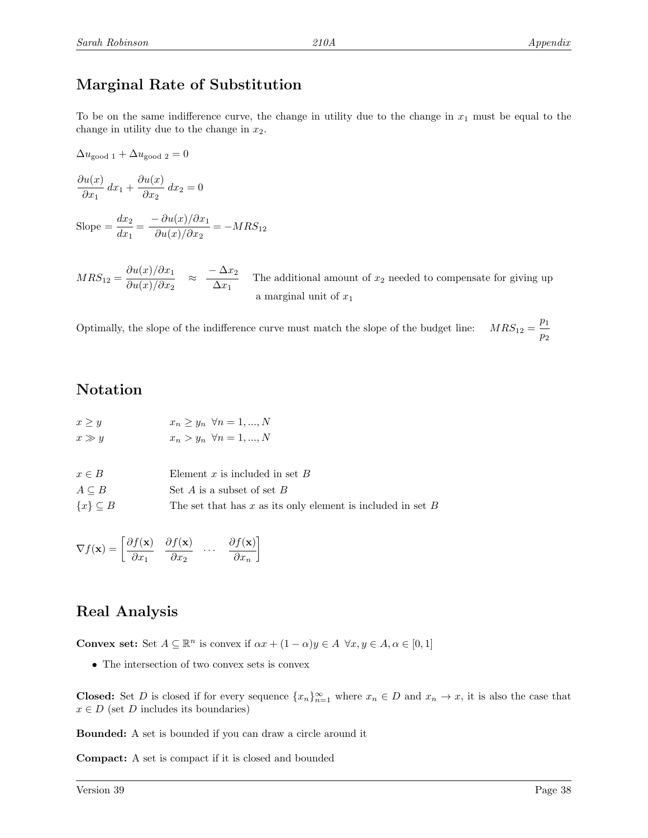# Marginal Rate of Substitution

To be on the same indifference curve, the change in utility due to the change in  $x_1$  must be equal to the change in utility due to the change in  $x_2$ .

 $\Delta u_{\text{good 1}} + \Delta u_{\text{good 2}} = 0$ 

$$
\frac{\partial u(x)}{\partial x_1} dx_1 + \frac{\partial u(x)}{\partial x_2} dx_2 = 0
$$

Slope  $=\frac{dx_2}{1}$  $\frac{dx_2}{dx_1} = \frac{-\partial u(x)/\partial x_1}{\partial u(x)/\partial x_2}$  $\frac{\partial \alpha(x)}{\partial u(x)/\partial x_2} = -MRS_{12}$ 

 $MRS_{12} = \frac{\partial u(x)/\partial x_1}{\partial x(x)/\partial x_1}$  $\frac{\partial u(x)/\partial x_1}{\partial u(x)/\partial x_2}$   $\approx$   $\frac{-\Delta x_2}{\Delta x_1}$  $\frac{1}{\Delta x_1}$  The additional amount of  $x_2$  needed to compensate for giving up a marginal unit of  $x_1$ 

Optimally, the slope of the indifference curve must match the slope of the budget line:  $\,$  $p_1$  $\overline{p}_2$ 

## Notation

| $x \geq y$ | $x_n \geq y_n \ \forall n = 1, , N$ |  |
|------------|-------------------------------------|--|
| $x \gg y$  | $x_n > y_n \ \forall n = 1, , N$    |  |

| $x \in B$           | Element x is included in set $B$                                |
|---------------------|-----------------------------------------------------------------|
| $A \subseteq B$     | Set A is a subset of set $B$                                    |
| $\{x\} \subseteq B$ | The set that has $x$ as its only element is included in set $B$ |

$$
\nabla f(\mathbf{x}) = \begin{bmatrix} \frac{\partial f(\mathbf{x})}{\partial x_1} & \frac{\partial f(\mathbf{x})}{\partial x_2} & \dots & \frac{\partial f(\mathbf{x})}{\partial x_n} \end{bmatrix}
$$

## Real Analysis

**Convex set:** Set  $A \subseteq \mathbb{R}^n$  is convex if  $\alpha x + (1 - \alpha)y \in A \ \forall x, y \in A, \alpha \in [0, 1]$ 

• The intersection of two convex sets is convex

**Closed:** Set D is closed if for every sequence  $\{x_n\}_{n=1}^{\infty}$  where  $x_n \in D$  and  $x_n \to x$ , it is also the case that  $x \in D$  (set D includes its boundaries)

Bounded: A set is bounded if you can draw a circle around it

Compact: A set is compact if it is closed and bounded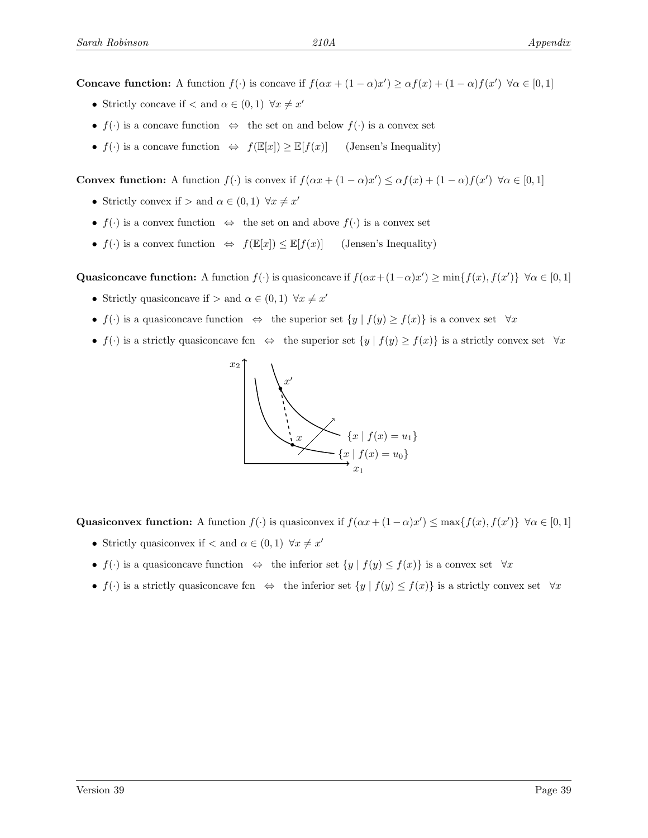**Concave function:** A function  $f(\cdot)$  is concave if  $f(\alpha x + (1 - \alpha)x') \geq \alpha f(x) + (1 - \alpha)f(x') \quad \forall \alpha \in [0, 1]$ 

- Strictly concave if  $\lt$  and  $\alpha \in (0,1)$   $\forall x \neq x'$
- $f(\cdot)$  is a concave function  $\Leftrightarrow$  the set on and below  $f(\cdot)$  is a convex set
- $f(\cdot)$  is a concave function  $\Leftrightarrow f(\mathbb{E}[x]) \geq \mathbb{E}[f(x)]$  (Jensen's Inequality)

**Convex function:** A function  $f(\cdot)$  is convex if  $f(\alpha x + (1 - \alpha)x') \leq \alpha f(x) + (1 - \alpha)f(x') \quad \forall \alpha \in [0, 1]$ 

- Strictly convex if  $>$  and  $\alpha \in (0,1)$   $\forall x \neq x'$
- $f(\cdot)$  is a convex function  $\Leftrightarrow$  the set on and above  $f(\cdot)$  is a convex set
- $f(\cdot)$  is a convex function  $\Leftrightarrow f(\mathbb{E}[x]) \leq \mathbb{E}[f(x)]$  (Jensen's Inequality)

Quasiconcave function: A function  $f(\cdot)$  is quasiconcave if  $f(\alpha x + (1-\alpha)x') \ge \min\{f(x), f(x')\} \ \forall \alpha \in [0,1]$ 

- Strictly quasiconcave if  $\geq$  and  $\alpha \in (0,1)$   $\forall x \neq x'$
- $f(\cdot)$  is a quasiconcave function  $\Leftrightarrow$  the superior set  $\{y \mid f(y) \ge f(x)\}$  is a convex set  $\forall x$
- $f(\cdot)$  is a strictly quasiconcave fcn  $\Leftrightarrow$  the superior set  $\{y \mid f(y) \ge f(x)\}$  is a strictly convex set  $\forall x$



Quasiconvex function: A function  $f(\cdot)$  is quasiconvex if  $f(\alpha x + (1 - \alpha)x') \le \max\{f(x), f(x')\} \ \forall \alpha \in [0, 1]$ 

- Strictly quasiconvex if  $\lt$  and  $\alpha \in (0,1)$   $\forall x \neq x'$
- $f(\cdot)$  is a quasiconcave function  $\Leftrightarrow$  the inferior set  $\{y \mid f(y) \leq f(x)\}$  is a convex set  $\forall x$
- $f(\cdot)$  is a strictly quasiconcave fcn  $\Leftrightarrow$  the inferior set  $\{y \mid f(y) \leq f(x)\}$  is a strictly convex set  $\forall x$